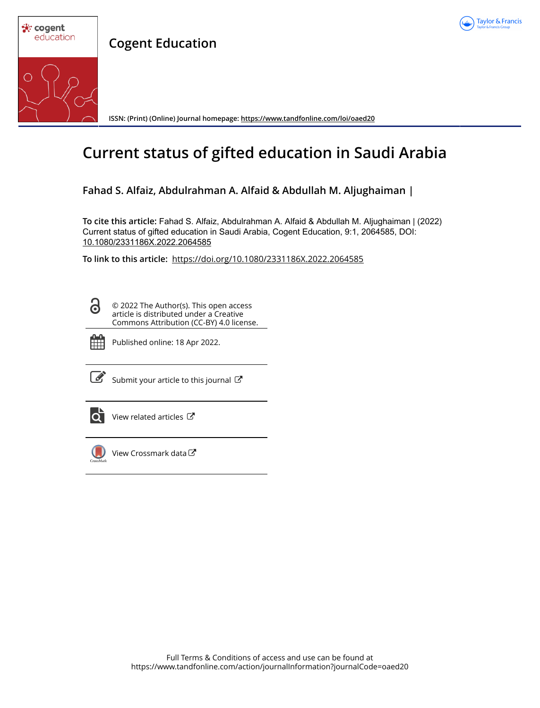

**Cogent Education**



**ISSN: (Print) (Online) Journal homepage:<https://www.tandfonline.com/loi/oaed20>**

# **Current status of gifted education in Saudi Arabia**

**Fahad S. Alfaiz, Abdulrahman A. Alfaid & Abdullah M. Aljughaiman |**

**To cite this article:** Fahad S. Alfaiz, Abdulrahman A. Alfaid & Abdullah M. Aljughaiman | (2022) Current status of gifted education in Saudi Arabia, Cogent Education, 9:1, 2064585, DOI: [10.1080/2331186X.2022.2064585](https://www.tandfonline.com/action/showCitFormats?doi=10.1080/2331186X.2022.2064585)

**To link to this article:** <https://doi.org/10.1080/2331186X.2022.2064585>

ര

© 2022 The Author(s). This open access article is distributed under a Creative Commons Attribution (CC-BY) 4.0 license.



Published online: 18 Apr 2022.

[Submit your article to this journal](https://www.tandfonline.com/action/authorSubmission?journalCode=oaed20&show=instructions)  $\mathbb{Z}$ 



[View related articles](https://www.tandfonline.com/doi/mlt/10.1080/2331186X.2022.2064585) C



[View Crossmark data](http://crossmark.crossref.org/dialog/?doi=10.1080/2331186X.2022.2064585&domain=pdf&date_stamp=2022-04-18)  $\mathbb{Z}$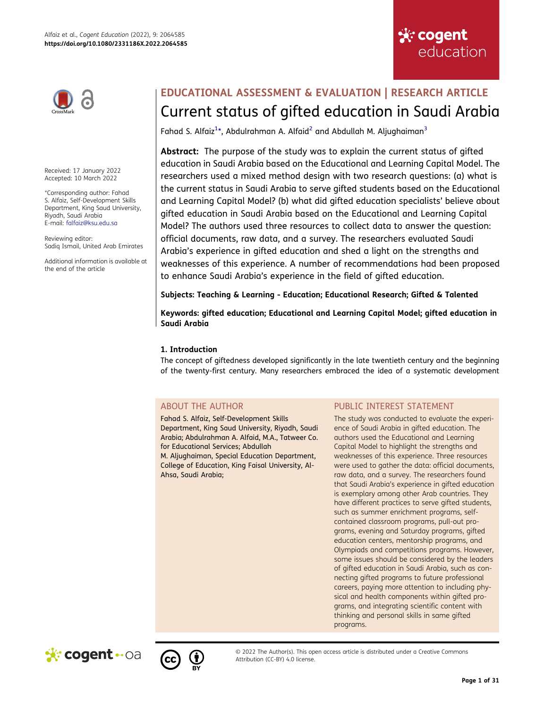



Received: 17 January 2022 Accepted: 10 March 2022

\*Corresponding author: Fahad S. Alfaiz, Self-Development Skills Department, King Saud University, Riyadh, Saudi Arabia E-mail: falfaiz@ksu.edu.sa

Reviewing editor: Sadiq Ismail, United Arab Emirates

Additional information is available at the end of the article

# **EDUCATIONAL ASSESSMENT & EVALUATION | RESEARCH ARTICLE** Current status of gifted education in Saudi Arabia

<span id="page-1-0"></span>Fahad S. Alfaiz $1*$ , Abdulrahman A. Alfaid $^2$  $^2$  and Abdullah M. Aljughaiman $^3$ 

**Abstract:** The purpose of the study was to explain the current status of gifted education in Saudi Arabia based on the Educational and Learning Capital Model. The researchers used a mixed method design with two research questions: (a) what is the current status in Saudi Arabia to serve gifted students based on the Educational and Learning Capital Model? (b) what did gifted education specialists' believe about gifted education in Saudi Arabia based on the Educational and Learning Capital Model? The authors used three resources to collect data to answer the question: official documents, raw data, and a survey. The researchers evaluated Saudi Arabia's experience in gifted education and shed a light on the strengths and weaknesses of this experience. A number of recommendations had been proposed to enhance Saudi Arabia's experience in the field of gifted education.

**Subjects: Teaching & Learning - Education; Educational Research; Gifted & Talented** 

**Keywords: gifted education; Educational and Learning Capital Model; gifted education in Saudi Arabia**

# **1. Introduction**

The concept of giftedness developed significantly in the late twentieth century and the beginning of the twenty-first century. Many researchers embraced the idea of a systematic development

# ABOUT THE AUTHOR

Fahad S. Alfaiz, Self-Development Skills Department, King Saud University, Riyadh, Saudi Arabia; Abdulrahman A. Alfaid, M.A., Tatweer Co. for Educational Services; Abdullah M. Aljughaiman, Special Education Department, College of Education, King Faisal University, Al-Ahsa, Saudi Arabia;

# PUBLIC INTEREST STATEMENT

The study was conducted to evaluate the experience of Saudi Arabia in gifted education. The authors used the Educational and Learning Capital Model to highlight the strengths and weaknesses of this experience. Three resources were used to gather the data: official documents, raw data, and a survey. The researchers found that Saudi Arabia's experience in gifted education is exemplary among other Arab countries. They have different practices to serve gifted students, such as summer enrichment programs, selfcontained classroom programs, pull-out programs, evening and Saturday programs, gifted education centers, mentorship programs, and Olympiads and competitions programs. However, some issues should be considered by the leaders of gifted education in Saudi Arabia, such as connecting gifted programs to future professional careers, paying more attention to including physical and health components within gifted programs, and integrating scientific content with thinking and personal skills in same gifted programs.





© 2022 The Author(s). This open access article is distributed under a Creative Commons Attribution (CC-BY) 4.0 license.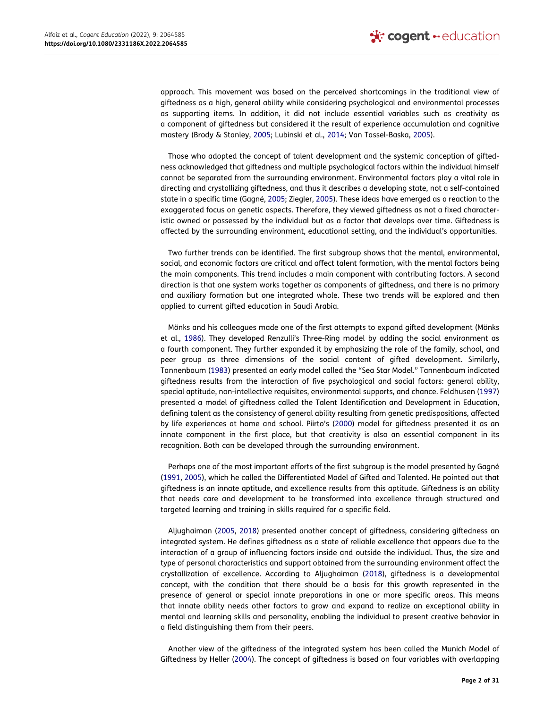approach. This movement was based on the perceived shortcomings in the traditional view of giftedness as a high, general ability while considering psychological and environmental processes as supporting items. In addition, it did not include essential variables such as creativity as a component of giftedness but considered it the result of experience accumulation and cognitive mastery (Brody & Stanley, [2005](#page-29-0); Lubinski et al., [2014;](#page-30-0) Van Tassel-Baska, [2005](#page-30-1)).

<span id="page-2-9"></span><span id="page-2-2"></span>Those who adopted the concept of talent development and the systemic conception of giftedness acknowledged that giftedness and multiple psychological factors within the individual himself cannot be separated from the surrounding environment. Environmental factors play a vital role in directing and crystallizing giftedness, and thus it describes a developing state, not a self-contained state in a specific time (Gagné, [2005](#page-29-1); Ziegler, [2005](#page-30-2)). These ideas have emerged as a reaction to the exaggerated focus on genetic aspects. Therefore, they viewed giftedness as not a fixed characteristic owned or possessed by the individual but as a factor that develops over time. Giftedness is affected by the surrounding environment, educational setting, and the individual's opportunities.

Two further trends can be identified. The first subgroup shows that the mental, environmental, social, and economic factors are critical and affect talent formation, with the mental factors being the main components. This trend includes a main component with contributing factors. A second direction is that one system works together as components of giftedness, and there is no primary and auxiliary formation but one integrated whole. These two trends will be explored and then applied to current gifted education in Saudi Arabia.

<span id="page-2-8"></span><span id="page-2-6"></span><span id="page-2-3"></span>Mönks and his colleagues made one of the first attempts to expand gifted development (Mönks et al., [1986\)](#page-30-3). They developed Renzulli's Three-Ring model by adding the social environment as a fourth component. They further expanded it by emphasizing the role of the family, school, and peer group as three dimensions of the social content of gifted development. Similarly, Tannenbaum [\(1983](#page-30-4)) presented an early model called the "Sea Star Model." Tannenbaum indicated giftedness results from the interaction of five psychological and social factors: general ability, special aptitude, non-intellective requisites, environmental supports, and chance. Feldhusen [\(1997\)](#page-29-2) presented a model of giftedness called the Talent Identification and Development in Education, defining talent as the consistency of general ability resulting from genetic predispositions, affected by life experiences at home and school. Piirto's [\(2000\)](#page-30-5) model for giftedness presented it as an innate component in the first place, but that creativity is also an essential component in its recognition. Both can be developed through the surrounding environment.

<span id="page-2-7"></span><span id="page-2-4"></span>Perhaps one of the most important efforts of the first subgroup is the model presented by Gagné ([1991](#page-29-3), [2005](#page-29-1)), which he called the Differentiated Model of Gifted and Talented. He pointed out that giftedness is an innate aptitude, and excellence results from this aptitude. Giftedness is an ability that needs care and development to be transformed into excellence through structured and targeted learning and training in skills required for a specific field.

<span id="page-2-1"></span><span id="page-2-0"></span>Aljughaiman [\(2005,](#page-29-4) [2018\)](#page-29-5) presented another concept of giftedness, considering giftedness an integrated system. He defines giftedness as a state of reliable excellence that appears due to the interaction of a group of influencing factors inside and outside the individual. Thus, the size and type of personal characteristics and support obtained from the surrounding environment affect the crystallization of excellence. According to Aljughaiman ([2018](#page-29-5)), giftedness is a developmental concept, with the condition that there should be a basis for this growth represented in the presence of general or special innate preparations in one or more specific areas. This means that innate ability needs other factors to grow and expand to realize an exceptional ability in mental and learning skills and personality, enabling the individual to present creative behavior in a field distinguishing them from their peers.

<span id="page-2-5"></span>Another view of the giftedness of the integrated system has been called the Munich Model of Giftedness by Heller ([2004](#page-30-6)). The concept of giftedness is based on four variables with overlapping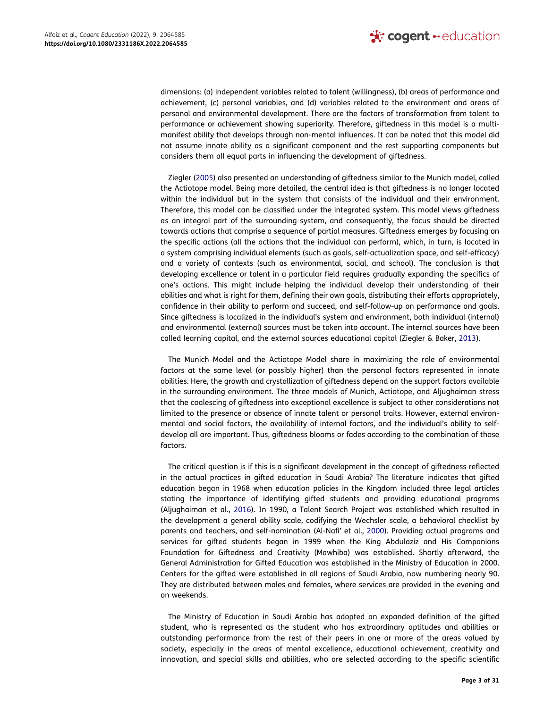dimensions: (a) independent variables related to talent (willingness), (b) areas of performance and achievement, (c) personal variables, and (d) variables related to the environment and areas of personal and environmental development. There are the factors of transformation from talent to performance or achievement showing superiority. Therefore, giftedness in this model is a multimanifest ability that develops through non-mental influences. It can be noted that this model did not assume innate ability as a significant component and the rest supporting components but considers them all equal parts in influencing the development of giftedness.

Ziegler [\(2005\)](#page-30-2) also presented an understanding of giftedness similar to the Munich model, called the Actiotope model. Being more detailed, the central idea is that giftedness is no longer located within the individual but in the system that consists of the individual and their environment. Therefore, this model can be classified under the integrated system. This model views giftedness as an integral part of the surrounding system, and consequently, the focus should be directed towards actions that comprise a sequence of partial measures. Giftedness emerges by focusing on the specific actions (all the actions that the individual can perform), which, in turn, is located in a system comprising individual elements (such as goals, self-actualization space, and self-efficacy) and a variety of contexts (such as environmental, social, and school). The conclusion is that developing excellence or talent in a particular field requires gradually expanding the specifics of one's actions. This might include helping the individual develop their understanding of their abilities and what is right for them, defining their own goals, distributing their efforts appropriately, confidence in their ability to perform and succeed, and self-follow-up on performance and goals. Since giftedness is localized in the individual's system and environment, both individual (internal) and environmental (external) sources must be taken into account. The internal sources have been called learning capital, and the external sources educational capital (Ziegler & Baker, [2013\)](#page-30-7).

<span id="page-3-2"></span>The Munich Model and the Actiotope Model share in maximizing the role of environmental factors at the same level (or possibly higher) than the personal factors represented in innate abilities. Here, the growth and crystallization of giftedness depend on the support factors available in the surrounding environment. The three models of Munich, Actiotope, and Aljughaiman stress that the coalescing of giftedness into exceptional excellence is subject to other considerations not limited to the presence or absence of innate talent or personal traits. However, external environmental and social factors, the availability of internal factors, and the individual's ability to selfdevelop all are important. Thus, giftedness blooms or fades according to the combination of those factors.

<span id="page-3-1"></span><span id="page-3-0"></span>The critical question is if this is a significant development in the concept of giftedness reflected in the actual practices in gifted education in Saudi Arabia? The literature indicates that gifted education began in 1968 when education policies in the Kingdom included three legal articles stating the importance of identifying gifted students and providing educational programs (Aljughaiman et al., [2016](#page-29-6)). In 1990, a Talent Search Project was established which resulted in the development a general ability scale, codifying the Wechsler scale, a behavioral checklist by parents and teachers, and self-nomination (Al-Nafi' et al., [2000\)](#page-29-7). Providing actual programs and services for gifted students began in 1999 when the King Abdulaziz and His Companions Foundation for Giftedness and Creativity (Mawhiba) was established. Shortly afterward, the General Administration for Gifted Education was established in the Ministry of Education in 2000. Centers for the gifted were established in all regions of Saudi Arabia, now numbering nearly 90. They are distributed between males and females, where services are provided in the evening and on weekends.

The Ministry of Education in Saudi Arabia has adopted an expanded definition of the gifted student, who is represented as the student who has extraordinary aptitudes and abilities or outstanding performance from the rest of their peers in one or more of the areas valued by society, especially in the areas of mental excellence, educational achievement, creativity and innovation, and special skills and abilities, who are selected according to the specific scientific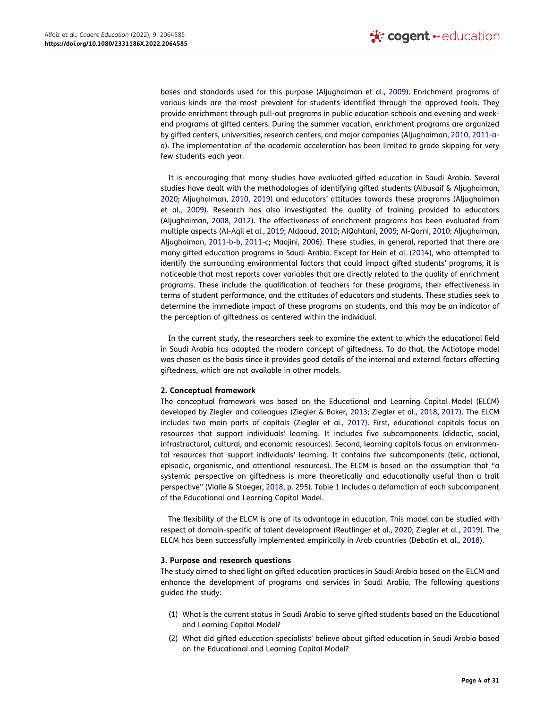<span id="page-4-4"></span>bases and standards used for this purpose (Aljughaiman et al., [2009](#page-29-8)). Enrichment programs of various kinds are the most prevalent for students identified through the approved tools. They provide enrichment through pull-out programs in public education schools and evening and weekend programs at gifted centers. During the summer vacation, enrichment programs are organized by gifted centers, universities, research centers, and major companies (Aljughaiman, [2010,](#page-29-9) [2011-a](#page-29-10)a). The implementation of the academic acceleration has been limited to grade skipping for very few students each year.

<span id="page-4-8"></span><span id="page-4-6"></span><span id="page-4-5"></span><span id="page-4-3"></span><span id="page-4-2"></span><span id="page-4-1"></span><span id="page-4-0"></span>It is encouraging that many studies have evaluated gifted education in Saudi Arabia. Several studies have dealt with the methodologies of identifying gifted students (Albusaif & Aljughaiman, [2020](#page-29-11); Aljughaiman, [2010](#page-29-9), [2019](#page-29-12)) and educators' attitudes towards these programs (Aljughaiman et al., [2009\)](#page-29-8). Research has also investigated the quality of training provided to educators (Aljughaiman, [2008,](#page-29-13) [2012](#page-29-14)). The effectiveness of enrichment programs has been evaluated from multiple aspects (Al-Aqil et al., [2019](#page-28-3); Aldaoud, [2010](#page-29-15); AlQahtani, [2009;](#page-29-16) Al-Qarni, [2010](#page-29-17); Aljughaiman, Aljughaiman, [2011-b](#page-29-18)-b, [2011-](#page-29-19)c; Maajini, [2006](#page-30-8)). These studies, in general, reported that there are many gifted education programs in Saudi Arabia. Except for Hein et al. ([2014](#page-30-9)), who attempted to identify the surrounding environmental factors that could impact gifted students' programs, it is noticeable that most reports cover variables that are directly related to the quality of enrichment programs. These include the qualification of teachers for these programs, their effectiveness in terms of student performance, and the attitudes of educators and students. These studies seek to determine the immediate impact of these programs on students, and this may be an indicator of the perception of giftedness as centered within the individual.

In the current study, the researchers seek to examine the extent to which the educational field in Saudi Arabia has adopted the modern concept of giftedness. To do that, the Actiotope model was chosen as the basis since it provides good details of the internal and external factors affecting giftedness, which are not available in other models.

## **2. Conceptual framework**

<span id="page-4-12"></span><span id="page-4-11"></span>The conceptual framework was based on the Educational and Learning Capital Model (ELCM) developed by Ziegler and colleagues (Ziegler & Baker, [2013;](#page-30-7) Ziegler et al., [2018,](#page-30-10) [2017](#page-30-11)). The ELCM includes two main parts of capitals (Ziegler et al., [2017\)](#page-30-11). First, educational capitals focus on resources that support individuals' learning. It includes five subcomponents (didactic, social, infrastructural, cultural, and economic resources). Second, learning capitals focus on environmental resources that support individuals' learning. It contains five subcomponents (telic, actional, episodic, organismic, and attentional resources). The ELCM is based on the assumption that "a systemic perspective on giftedness is more theoretically and educationally useful than a trait perspective" (Vialle & Stoeger, [2018](#page-30-12), p. 295). Table [1](#page-5-0) includes a defamation of each subcomponent of the Educational and Learning Capital Model.

<span id="page-4-10"></span><span id="page-4-9"></span><span id="page-4-7"></span>The flexibility of the ELCM is one of its advantage in education. This model can be studied with respect of domain-specific of talent development (Reutlinger et al., [2020;](#page-30-13) Ziegler et al., [2019](#page-30-14)). The ELCM has been successfully implemented empirically in Arab countries (Debatin et al., [2018\)](#page-29-20).

#### **3. Purpose and research questions**

The study aimed to shed light on gifted education practices in Saudi Arabia based on the ELCM and enhance the development of programs and services in Saudi Arabia. The following questions guided the study:

- (1) What is the current status in Saudi Arabia to serve gifted students based on the Educational and Learning Capital Model?
- (2) What did gifted education specialists' believe about gifted education in Saudi Arabia based on the Educational and Learning Capital Model?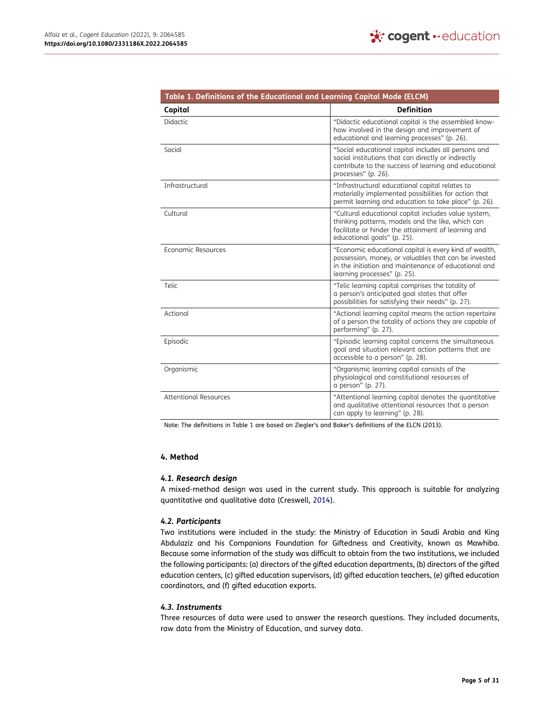<span id="page-5-0"></span>

| Table 1. Definitions of the Educational and Learning Capital Mode (ELCM) |                                                                                                                                                                                                        |
|--------------------------------------------------------------------------|--------------------------------------------------------------------------------------------------------------------------------------------------------------------------------------------------------|
| Capital                                                                  | <b>Definition</b>                                                                                                                                                                                      |
| Didactic                                                                 | "Didactic educational capital is the assembled know-<br>how involved in the design and improvement of<br>educational and learning processes" (p. 26).                                                  |
| Social                                                                   | "Social educational capital includes all persons and<br>social institutions that can directly or indirectly<br>contribute to the success of learning and educational<br>processes" (p. 26).            |
| Infrastructural                                                          | "Infrastructural educational capital relates to<br>materially implemented possibilities for action that<br>permit learning and education to take place" (p. 26).                                       |
| Cultural                                                                 | "Cultural educational capital includes value system,<br>thinking patterns, models and the like, which can<br>facilitate or hinder the attainment of learning and<br>educational goals" (p. 25).        |
| Economic Resources                                                       | "Economic educational capital is every kind of wealth,<br>possession, money, or valuables that can be invested<br>in the initiation and maintenance of educational and<br>learning processes" (p. 25). |
| Telic                                                                    | "Telic learning capital comprises the totality of<br>a person's anticipated goal states that offer<br>possibilities for satisfying their needs" (p. 27).                                               |
| Actional                                                                 | "Actional learning capital means the action repertoire<br>of a person the totality of actions they are capable of<br>performing" (p. 27).                                                              |
| Episodic                                                                 | "Episodic learning capital concerns the simultaneous<br>goal and situation relevant action patterns that are<br>accessible to a person" (p. 28).                                                       |
| Organismic                                                               | "Organismic learning capital consists of the<br>physiological and constitutional resources of<br>a person" (p. 27).                                                                                    |
| Attentional Resources                                                    | "Attentional learning capital denotes the quantitative<br>and qualitative attentional resources that a person<br>can apply to learning" (p. 28).                                                       |

Note: The definitions in Table [1](#page-5-0) are based on Ziegler's and Baker's definitions of the ELCN (2013).

#### **4. Method**

#### *4.1. Research design*

<span id="page-5-1"></span>A mixed-method design was used in the current study. This approach is suitable for analyzing quantitative and qualitative data (Creswell, [2014](#page-29-21)).

## *4.2. Participants*

Two institutions were included in the study: the Ministry of Education in Saudi Arabia and King Abdulaziz and his Companions Foundation for Giftedness and Creativity, known as Mawhiba. Because some information of the study was difficult to obtain from the two institutions, we included the following participants: (a) directors of the gifted education departments, (b) directors of the gifted education centers, (c) gifted education supervisors, (d) gifted education teachers, (e) gifted education coordinators, and (f) gifted education exports.

## *4.3. Instruments*

Three resources of data were used to answer the research questions. They included documents, raw data from the Ministry of Education, and survey data.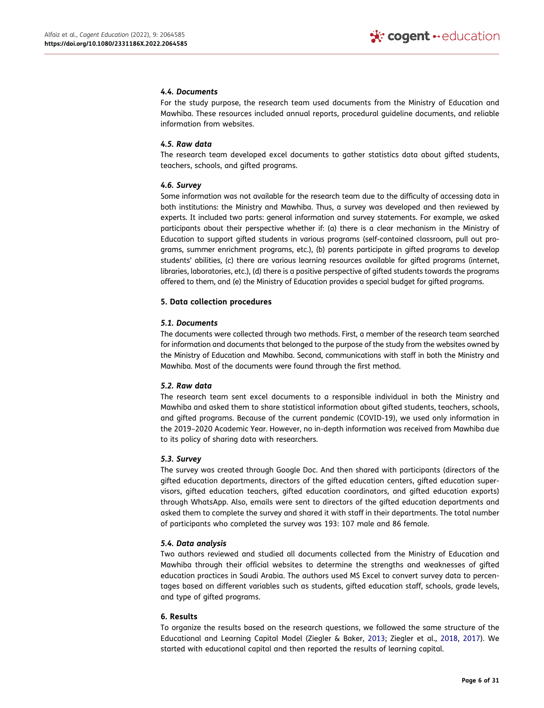#### *4.4. Documents*

For the study purpose, the research team used documents from the Ministry of Education and Mawhiba. These resources included annual reports, procedural guideline documents, and reliable information from websites.

#### *4.5. Raw data*

The research team developed excel documents to gather statistics data about gifted students, teachers, schools, and gifted programs.

#### *4.6. Survey*

Some information was not available for the research team due to the difficulty of accessing data in both institutions: the Ministry and Mawhiba. Thus, a survey was developed and then reviewed by experts. It included two parts: general information and survey statements. For example, we asked participants about their perspective whether if: (a) there is a clear mechanism in the Ministry of Education to support gifted students in various programs (self-contained classroom, pull out programs, summer enrichment programs, etc.), (b) parents participate in gifted programs to develop students' abilities, (c) there are various learning resources available for gifted programs (internet, libraries, laboratories, etc.), (d) there is a positive perspective of gifted students towards the programs offered to them, and (e) the Ministry of Education provides a special budget for gifted programs.

#### **5. Data collection procedures**

#### *5.1. Documents*

The documents were collected through two methods. First, a member of the research team searched for information and documents that belonged to the purpose of the study from the websites owned by the Ministry of Education and Mawhiba. Second, communications with staff in both the Ministry and Mawhiba. Most of the documents were found through the first method.

## *5.2. Raw data*

The research team sent excel documents to a responsible individual in both the Ministry and Mawhiba and asked them to share statistical information about gifted students, teachers, schools, and gifted programs. Because of the current pandemic (COVID-19), we used only information in the 2019–2020 Academic Year. However, no in-depth information was received from Mawhiba due to its policy of sharing data with researchers.

#### *5.3. Survey*

The survey was created through Google Doc. And then shared with participants (directors of the gifted education departments, directors of the gifted education centers, gifted education supervisors, gifted education teachers, gifted education coordinators, and gifted education exports) through WhatsApp. Also, emails were sent to directors of the gifted education departments and asked them to complete the survey and shared it with staff in their departments. The total number of participants who completed the survey was 193: 107 male and 86 female.

## *5.4. Data analysis*

Two authors reviewed and studied all documents collected from the Ministry of Education and Mawhiba through their official websites to determine the strengths and weaknesses of gifted education practices in Saudi Arabia. The authors used MS Excel to convert survey data to percentages based on different variables such as students, gifted education staff, schools, grade levels, and type of gifted programs.

## **6. Results**

To organize the results based on the research questions, we followed the same structure of the Educational and Learning Capital Model (Ziegler & Baker, [2013;](#page-30-7) Ziegler et al., [2018,](#page-30-10) [2017](#page-30-11)). We started with educational capital and then reported the results of learning capital.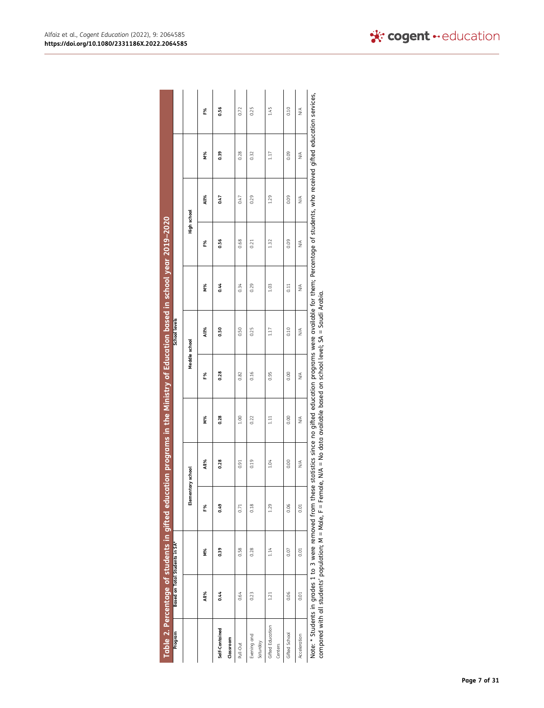<span id="page-7-0"></span>

| Program                     | Based on Total Students in SA* |      |                                                           | Table 2. Percentage of students in gifted education programs in the Ministry of Education based in school year 2019–2020 |      |      | School levels |      |             |                                                                                                                                        |      |      |
|-----------------------------|--------------------------------|------|-----------------------------------------------------------|--------------------------------------------------------------------------------------------------------------------------|------|------|---------------|------|-------------|----------------------------------------------------------------------------------------------------------------------------------------|------|------|
|                             |                                |      | Elementary school                                         |                                                                                                                          |      |      | Meddle school |      | High school |                                                                                                                                        |      |      |
|                             | All%                           | N%   | F%                                                        | All%                                                                                                                     | м%   | F%   | All%          | N%   | F%          | All%                                                                                                                                   | N%   | F%   |
| Self-Contained              | 0.44                           | 0.39 | 0.49                                                      | 0.28                                                                                                                     | 0.28 | 0.28 | 0.50          | 0.44 | 0.56        | 0.47                                                                                                                                   | 0.39 | 0.56 |
| Classroom                   |                                |      |                                                           |                                                                                                                          |      |      |               |      |             |                                                                                                                                        |      |      |
| Pull-Out                    | 0.64                           | 0.58 | 0.71                                                      | 0.91                                                                                                                     | 1.00 | 0.82 | 0.50          | 0.34 | 0.68        | 0.47                                                                                                                                   | 0.28 | 0.72 |
| Evening and<br>Saturday     | 0.23                           | 0.28 | 0.18                                                      | 0.19                                                                                                                     | 0.22 | 0.16 | 0.25          | 0.29 | 0.21        | 0.29                                                                                                                                   | 0.32 | 0.25 |
| Gifted Education<br>Centers | 1.21                           | 1.14 | 1.29                                                      | 1.04                                                                                                                     | 111  | 0.95 | 1.17          | 1.03 | 1.32        | 1.29                                                                                                                                   | 117  | 1.45 |
| Gifted School               | 0.06                           | 0.07 | 0.06                                                      | 0.00                                                                                                                     | 0.00 | 0.00 | 0.10          | 0.11 | 0.09        | 0.09                                                                                                                                   | 0.09 | 0.10 |
| Acceleration                | 0.01                           | 0.01 | 0.01                                                      | ⋚                                                                                                                        | ⋚    | ⋚    | ⋚             | ₹    | ₹           | ⋚                                                                                                                                      | ⋚    | ⋚    |
|                             |                                |      | Note: * Students in grades 1 to 3 were removed from these |                                                                                                                          |      |      |               |      |             | statistics since no gifted education programs were available for them; Percentage of students, who received gifted education services, |      |      |

| 3<br>ś<br>ׇ֚֘֝֬<br>ׇ֚֘֝֬                                          |                                                           |
|-------------------------------------------------------------------|-----------------------------------------------------------|
| i<br>١                                                            | ì<br>ī<br>ا م                                             |
|                                                                   | Ī<br>i<br>j<br>Ó                                          |
| ì<br>ׇ֚֚֘֝֝                                                       |                                                           |
| Ó<br>֖֖֖ׅ֖֖֧ׅׅ֖֧ׅ֖֧֪֪ׅ֖֧ׅ֧֚֚֚֚֚֚֚֚֚֚֚֚֚֚֚֚֚֚֚֚֚֚֡֝֝֝֝֝֓֞֝֬֓֬֝֓֞֝֬ | i<br>$\overline{a}$<br>i<br>i<br>$\overline{\phantom{a}}$ |
| ese statı:                                                        | l<br>$\mathbf{I}$<br>ngle<br>)<br>)<br>)                  |
| Í<br>١<br>֠<br>ī                                                  | $= 1$<br>í<br>ī<br>֦֧֦֧֦<br>ī                             |
| į                                                                 | II<br>S<br>í<br>ì<br>S<br>Ó<br>ś                          |
| i                                                                 | Ś<br>ĭ                                                    |
| i<br>j                                                            | :<br>ł<br>١                                               |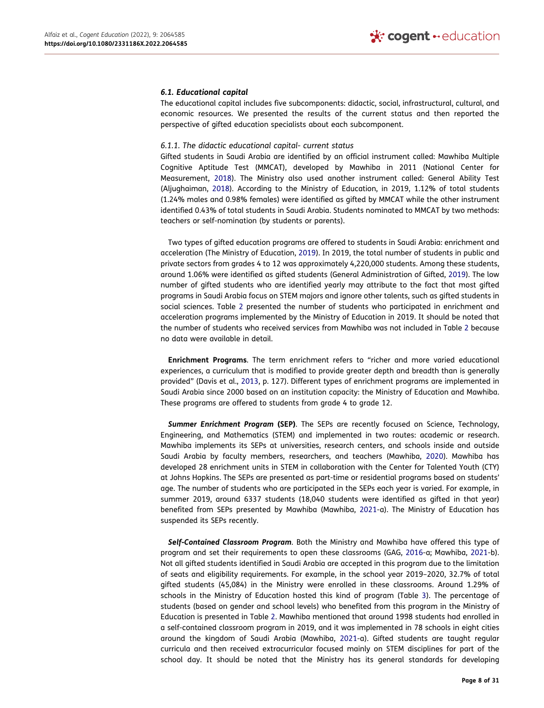#### *6.1. Educational capital*

The educational capital includes five subcomponents: didactic, social, infrastructural, cultural, and economic resources. We presented the results of the current status and then reported the perspective of gifted education specialists about each subcomponent.

#### *6.1.1. The didactic educational capital- current status*

<span id="page-8-6"></span>Gifted students in Saudi Arabia are identified by an official instrument called: Mawhiba Multiple Cognitive Aptitude Test (MMCAT), developed by Mawhiba in 2011 (National Center for Measurement, [2018](#page-30-15)). The Ministry also used another instrument called: General Ability Test (Aljughaiman, [2018](#page-29-5)). According to the Ministry of Education, in 2019, 1.12% of total students (1.24% males and 0.98% females) were identified as gifted by MMCAT while the other instrument identified 0.43% of total students in Saudi Arabia. Students nominated to MMCAT by two methods: teachers or self-nomination (by students or parents).

<span id="page-8-5"></span><span id="page-8-2"></span>Two types of gifted education programs are offered to students in Saudi Arabia: enrichment and acceleration (The Ministry of Education, [2019\)](#page-30-16). In 2019, the total number of students in public and private sectors from grades 4 to 12 was approximately 4,220,000 students. Among these students, around 1.06% were identified as gifted students (General Administration of Gifted, [2019\)](#page-29-22). The low number of gifted students who are identified yearly may attribute to the fact that most gifted programs in Saudi Arabia focus on STEM majors and ignore other talents, such as gifted students in social sciences. Table [2](#page-7-0) presented the number of students who participated in enrichment and acceleration programs implemented by the Ministry of Education in 2019. It should be noted that the number of students who received services from Mawhiba was not included in Table [2](#page-7-0) because no data were available in detail.

<span id="page-8-0"></span>**Enrichment Programs**. The term enrichment refers to "richer and more varied educational experiences, a curriculum that is modified to provide greater depth and breadth than is generally provided" (Davis et al., [2013,](#page-29-23) p. 127). Different types of enrichment programs are implemented in Saudi Arabia since 2000 based on an institution capacity: the Ministry of Education and Mawhiba. These programs are offered to students from grade 4 to grade 12.

<span id="page-8-3"></span>*Summer Enrichment Program* **(SEP)**. The SEPs are recently focused on Science, Technology, Engineering, and Mathematics (STEM) and implemented in two routes: academic or research. Mawhiba implements its SEPs at universities, research centers, and schools inside and outside Saudi Arabia by faculty members, researchers, and teachers (Mawhiba, [2020\)](#page-30-17). Mawhiba has developed 28 enrichment units in STEM in collaboration with the Center for Talented Youth (CTY) at Johns Hopkins. The SEPs are presented as part-time or residential programs based on students' age. The number of students who are participated in the SEPs each year is varied. For example, in summer 2019, around 6337 students (18,040 students were identified as gifted in that year) benefited from SEPs presented by Mawhiba (Mawhiba, [2021](#page-30-18)-a). The Ministry of Education has suspended its SEPs recently.

<span id="page-8-4"></span><span id="page-8-1"></span>*Self-Contained Classroom Program*. Both the Ministry and Mawhiba have offered this type of program and set their requirements to open these classrooms (GAG, [2016-](#page-29-24)a; Mawhiba, [2021-](#page-30-19)b). Not all gifted students identified in Saudi Arabia are accepted in this program due to the limitation of seats and eligibility requirements. For example, in the school year 2019–2020, 32.7% of total gifted students (45,084) in the Ministry were enrolled in these classrooms. Around 1.29% of schools in the Ministry of Education hosted this kind of program (Table [3\)](#page-9-0). The percentage of students (based on gender and school levels) who benefited from this program in the Ministry of Education is presented in Table [2](#page-7-0). Mawhiba mentioned that around 1998 students had enrolled in a self-contained classroom program in 2019, and it was implemented in 78 schools in eight cities around the kingdom of Saudi Arabia (Mawhiba, [2021](#page-30-18)-a). Gifted students are taught regular curricula and then received extracurricular focused mainly on STEM disciplines for part of the school day. It should be noted that the Ministry has its general standards for developing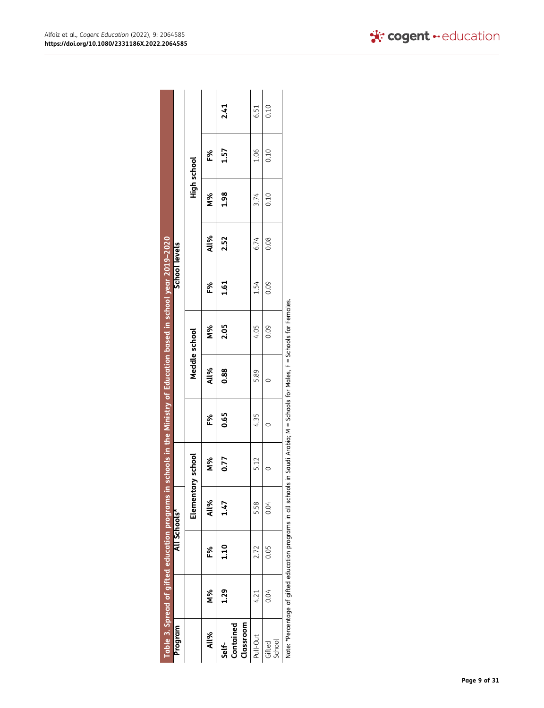<span id="page-9-0"></span>

| Program               |         |      | Table 3. Spread of gifted education programs in schools in the Ministry of Education based in school year 2019–2020<br>All Schools* |      |      |               |           | School levels |      |             |      |      |
|-----------------------|---------|------|-------------------------------------------------------------------------------------------------------------------------------------|------|------|---------------|-----------|---------------|------|-------------|------|------|
|                       |         |      | Elementary school                                                                                                                   |      |      | Meddle school |           |               |      | High school |      |      |
| All%                  | v.<br>N | ఔ    | All%                                                                                                                                | 8g   | F%   | <b>All%</b>   | <b>N%</b> | F%            | All% | 8<br>N%     | F%   |      |
| Contained<br>Self-    | 1.29    | 1.10 | 1.47                                                                                                                                | 0.77 | 0.65 | 0.88          | 2.05      | 1.61          | 2.52 | 1.98        | 1.57 | 2.41 |
| Classroom<br>Pull-Out | 4.21    | 2.72 | 5.58                                                                                                                                | 5.12 | 4.35 | 5.89          | 4.05      | 1.54          | 6.74 | 3.74        | 1.06 | 6.51 |
| School<br>Gifted      | 0.04    | 0.05 | 0.04                                                                                                                                |      |      |               | 0.09      | 0.09          | 0.08 | 0.10        | 0.10 | 0.10 |
|                       |         |      | Note: *Percentage of aifted education programs in all schools in Saudi Arabia: M = Schools for Males F = Schools for Females        |      |      |               |           |               |      |             |      |      |

hools for Females. Note: \*Percentage of gifted education programs in all schools in Saudi Arabia; M = Schools for Males, F = Schools for Females. ដ្ល viales, F ĕ ă ž ė ig<br>A Ξ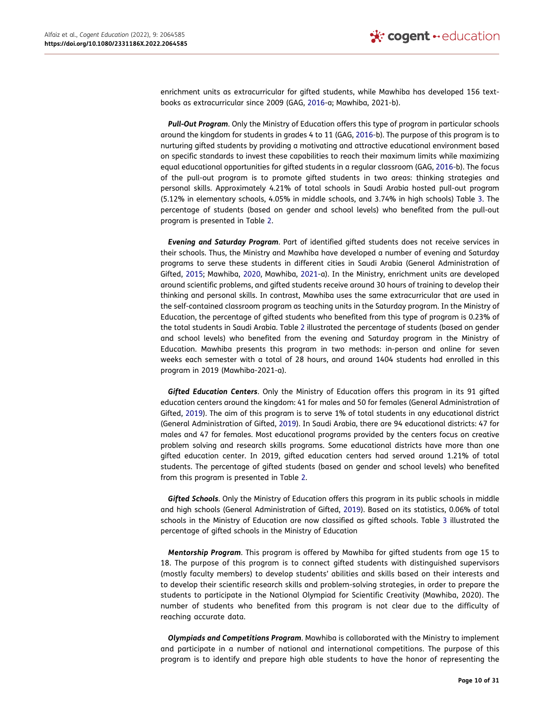enrichment units as extracurricular for gifted students, while Mawhiba has developed 156 textbooks as extracurricular since 2009 (GAG, [2016-](#page-29-24)a; Mawhiba, 2021-b).

<span id="page-10-1"></span>*Pull-Out Program*. Only the Ministry of Education offers this type of program in particular schools around the kingdom for students in grades 4 to 11 (GAG, [2016-](#page-29-25)b). The purpose of this program is to nurturing gifted students by providing a motivating and attractive educational environment based on specific standards to invest these capabilities to reach their maximum limits while maximizing equal educational opportunities for gifted students in a regular classroom (GAG, [2016-](#page-29-25)b). The focus of the pull-out program is to promote gifted students in two areas: thinking strategies and personal skills. Approximately 4.21% of total schools in Saudi Arabia hosted pull-out program (5.12% in elementary schools, 4.05% in middle schools, and 3.74% in high schools) Table [3](#page-9-0). The percentage of students (based on gender and school levels) who benefited from the pull-out program is presented in Table [2](#page-7-0).

<span id="page-10-0"></span>*Evening and Saturday Program*. Part of identified gifted students does not receive services in their schools. Thus, the Ministry and Mawhiba have developed a number of evening and Saturday programs to serve these students in different cities in Saudi Arabia (General Administration of Gifted, [2015;](#page-29-26) Mawhiba, [2020,](#page-30-17) Mawhiba, [2021](#page-30-18)-a). In the Ministry, enrichment units are developed around scientific problems, and gifted students receive around 30 hours of training to develop their thinking and personal skills. In contrast, Mawhiba uses the same extracurricular that are used in the self-contained classroom program as teaching units in the Saturday program. In the Ministry of Education, the percentage of gifted students who benefited from this type of program is 0.23% of the total students in Saudi Arabia. Table [2](#page-7-0) illustrated the percentage of students (based on gender and school levels) who benefited from the evening and Saturday program in the Ministry of Education. Mawhiba presents this program in two methods: in-person and online for seven weeks each semester with a total of 28 hours, and around 1404 students had enrolled in this program in 2019 (Mawhiba-2021-a).

*Gifted Education Centers*. Only the Ministry of Education offers this program in its 91 gifted education centers around the kingdom: 41 for males and 50 for females (General Administration of Gifted, [2019](#page-29-22)). The aim of this program is to serve 1% of total students in any educational district (General Administration of Gifted, [2019\)](#page-29-22). In Saudi Arabia, there are 94 educational districts: 47 for males and 47 for females. Most educational programs provided by the centers focus on creative problem solving and research skills programs. Some educational districts have more than one gifted education center. In 2019, gifted education centers had served around 1.21% of total students. The percentage of gifted students (based on gender and school levels) who benefited from this program is presented in Table [2](#page-7-0).

*Gifted Schools*. Only the Ministry of Education offers this program in its public schools in middle and high schools (General Administration of Gifted, [2019](#page-29-22)). Based on its statistics, 0.06% of total schools in the Ministry of Education are now classified as gifted schools. Table [3](#page-9-0) illustrated the percentage of gifted schools in the Ministry of Education

*Mentorship Program*. This program is offered by Mawhiba for gifted students from age 15 to 18. The purpose of this program is to connect gifted students with distinguished supervisors (mostly faculty members) to develop students' abilities and skills based on their interests and to develop their scientific research skills and problem-solving strategies, in order to prepare the students to participate in the National Olympiad for Scientific Creativity (Mawhiba, 2020). The number of students who benefited from this program is not clear due to the difficulty of reaching accurate data.

*Olympiads and Competitions Program*. Mawhiba is collaborated with the Ministry to implement and participate in a number of national and international competitions. The purpose of this program is to identify and prepare high able students to have the honor of representing the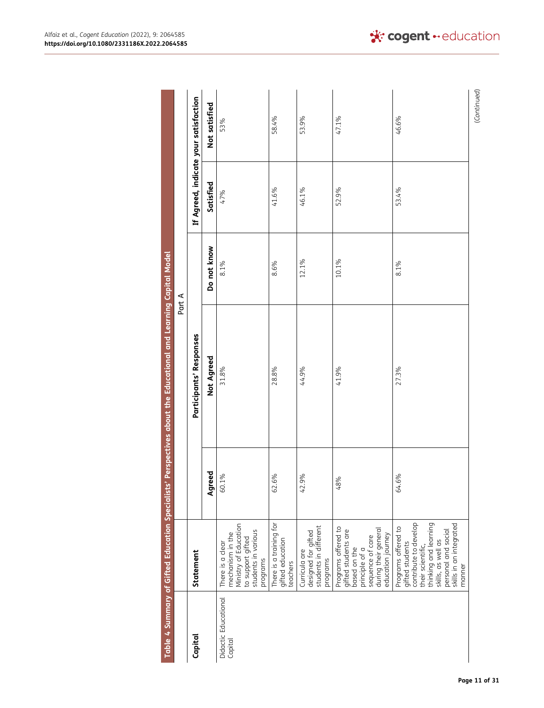<span id="page-11-0"></span>

|                                 |                                                                                                                                                                                                 |           | Table 4 Summary of Gifted Education Specialists' Perspectives about the Educational and Learning Capital Model |             |           |                                       |
|---------------------------------|-------------------------------------------------------------------------------------------------------------------------------------------------------------------------------------------------|-----------|----------------------------------------------------------------------------------------------------------------|-------------|-----------|---------------------------------------|
|                                 |                                                                                                                                                                                                 |           |                                                                                                                | Part A      |           |                                       |
| Capital                         | Statement                                                                                                                                                                                       |           | Participants' Responses                                                                                        |             |           | If Agreed, indicate your satisfaction |
|                                 |                                                                                                                                                                                                 | Agreed    | Not Agreed                                                                                                     | Do not know | Satisfied | Not satisfied                         |
| Didactic Educational<br>Capital | Ministry of Education<br>students in various<br>mechanism in the<br>to support gifted<br>There is a clear<br>programs                                                                           | 60.1%     | 31.8%                                                                                                          | 8.1%        | 47%       | 53%                                   |
|                                 | There is a training for<br>gifted education<br>teachers                                                                                                                                         | 6%<br>62. | 28.8%                                                                                                          | 8.6%        | 41.6%     | 58.4%                                 |
|                                 | students in different<br>designed for gifted<br>Curricula are<br>programs                                                                                                                       | 42.9%     | 44.9%                                                                                                          | 12.1%       | 46.1%     | 53.9%                                 |
|                                 | Programs offered to<br>during their general<br>gifted students are<br>education journey<br>sequence of care<br>based on the<br>principle of a                                                   | 48%       | 41.9%                                                                                                          | 10.1%       | 52.9%     | 47.1%                                 |
|                                 | contribute to develop<br>thinking and learning<br>skills, as well as<br>skills in an integrated<br>Programs offered to<br>personal and social<br>gifted students<br>their scientific,<br>manner | 64.6%     | 27.3%                                                                                                          | 8.1%        | 53.4%     | 46.6%                                 |
|                                 |                                                                                                                                                                                                 |           |                                                                                                                |             |           | (Continued)                           |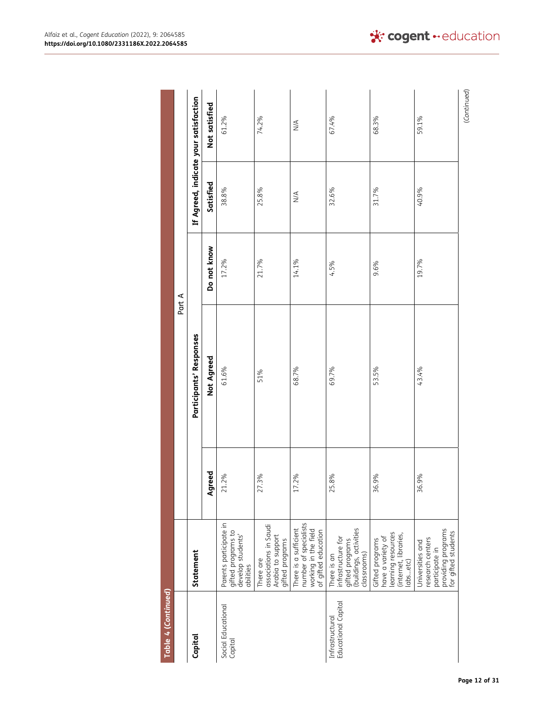| Table 4 (Continued)                    |                                                                                                     |           |                         |             |               |                                       |
|----------------------------------------|-----------------------------------------------------------------------------------------------------|-----------|-------------------------|-------------|---------------|---------------------------------------|
|                                        |                                                                                                     |           |                         | Part A      |               |                                       |
| Capital                                | Statement                                                                                           |           | Participants' Responses |             |               | If Agreed, indicate your satisfaction |
|                                        |                                                                                                     | Agreed    | Not Agreed              | Do not know | Satisfied     | Not satisfied                         |
| Social Educational<br>Capital          | Parents participate in<br>gifted programs to<br>develop students'<br>abilities                      | 21.2%     | 61.6%                   | 17.2%       | 38.8%         | 61.2%                                 |
|                                        | associations in Saudi<br>Arabia to support<br>gifted programs<br>There are                          | 27.3%     | 51%                     | 21.7%       | 25.8%         | 74.2%                                 |
|                                        | number of specialists<br>There is a sufficient<br>working in the field<br>of gifted education       | 17.2%     | 68.7%                   | 14.1%       | $\frac{4}{2}$ | $\sum_{i=1}^{n}$                      |
| Educational Capital<br>Infrastructural | (buildings, activities<br>classrooms)<br>infrastructure for<br>gifted programs<br>There is an       | 8%<br>25. | 69.7%                   | 4.5%        | 32.6%         | 67.4%                                 |
|                                        | learning resources<br>(internet, libraries,<br>labs…etc)<br>have a variety of<br>Gifted programs    | 36.9%     | 53.5%                   | 9.6%        | 31.7%         | 68.3%                                 |
|                                        | providing programs<br>for gifted students<br>research centers<br>Universities and<br>participate in | 36.9%     | 43.4%                   | 19.7%       | 40.9%         | 59.1%                                 |
|                                        |                                                                                                     |           |                         |             |               | (Continued)                           |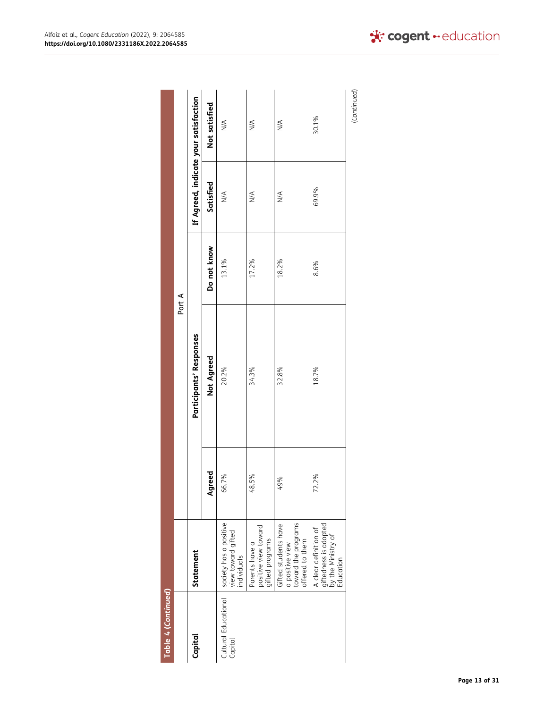| Table 4 (Continued)             |                                                                                   |        |                         |             |               |                                       |
|---------------------------------|-----------------------------------------------------------------------------------|--------|-------------------------|-------------|---------------|---------------------------------------|
|                                 |                                                                                   |        |                         | Part A      |               |                                       |
| Capital                         | Statement                                                                         |        | Participants' Responses |             |               | If Agreed, indicate your satisfaction |
|                                 |                                                                                   | Agreed | <b>Not Agreed</b>       | Do not know | Satisfied     | Not satisfied                         |
| Cultural Educational<br>Capital | society has a positive<br>view toward gifted<br>individuals                       | 66.7%  | 20.2%                   | 13.1%       | $\frac{4}{2}$ | $\stackrel{\triangle}{\geq}$          |
|                                 | positive view toward<br>gifted programs<br>Parents have a                         | 48.5%  | 34.3%                   | 17.2%       | $\frac{4}{2}$ | $\stackrel{\triangle}{\geq}$          |
|                                 | toward the programs<br>Gifted students have<br>offered to them<br>a positive view | 49%    | 32.8%                   | 18.2%       | $\frac{4}{2}$ | $\stackrel{\triangleleft}{\geq}$      |
|                                 | giftedness is adopted<br>by the Ministry of<br>A clear definition of<br>Education | 72.2%  | 18.7%                   | 8.6%        | 69.9%         | 30.1%                                 |
|                                 |                                                                                   |        |                         |             |               | (Continued)                           |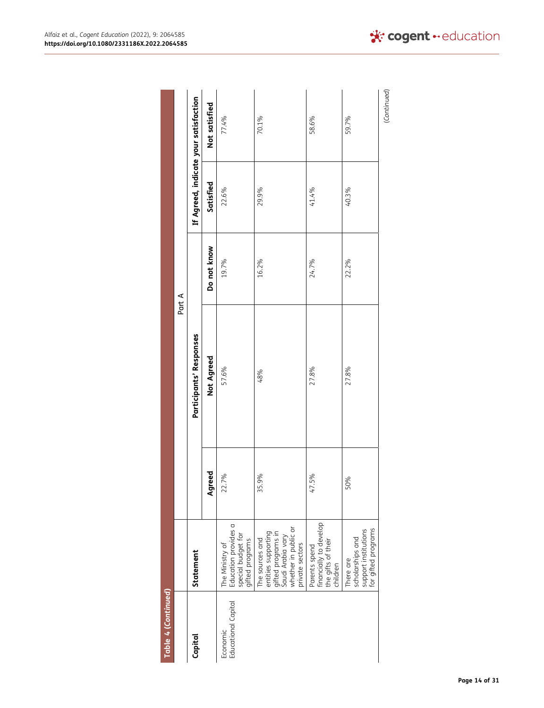| Table 4 (Continued)             |                                                                                                                              |           |                         |             |           |                                       |
|---------------------------------|------------------------------------------------------------------------------------------------------------------------------|-----------|-------------------------|-------------|-----------|---------------------------------------|
|                                 |                                                                                                                              |           |                         | Part A      |           |                                       |
| Capital                         | Statement                                                                                                                    |           | Participants' Responses |             |           | If Agreed, indicate your satisfaction |
|                                 |                                                                                                                              | reed<br>ğ | <b>Not Agreed</b>       | Do not know | Satisfied | Not satisfied                         |
| Educational Capital<br>Economic | Education provides a<br>  special budget for<br>  gifted programs<br>The Ministry of                                         | 22.7%     | 57.6%                   | 19.7%       | 22.6%     | 77.4%                                 |
|                                 | whether in public or<br>private sectors<br>entities supporting<br>gifted programs in<br>Saudi Arabia vary<br>The sources and | 35.9%     | 48%                     | 16.2%       | 29.9%     | 70.1%                                 |
|                                 | financially to develop<br>the gifts of their<br>children<br>Parents spend                                                    | 47.5%     | 27.8%                   | 24.7%       | 41.4%     | 58.6%                                 |
|                                 | scholarships and<br>support institutions<br>for gifted programs<br>There are                                                 | 50%       | 27.8%                   | 22.2%       | 40.3%     | 59.7%                                 |
|                                 |                                                                                                                              |           |                         |             |           | (Continued)                           |

Alfaiz et al., *Cogent Education* (2022), 9: 2064585 **https://doi.org/10.1080/2331186X.2022.2064585**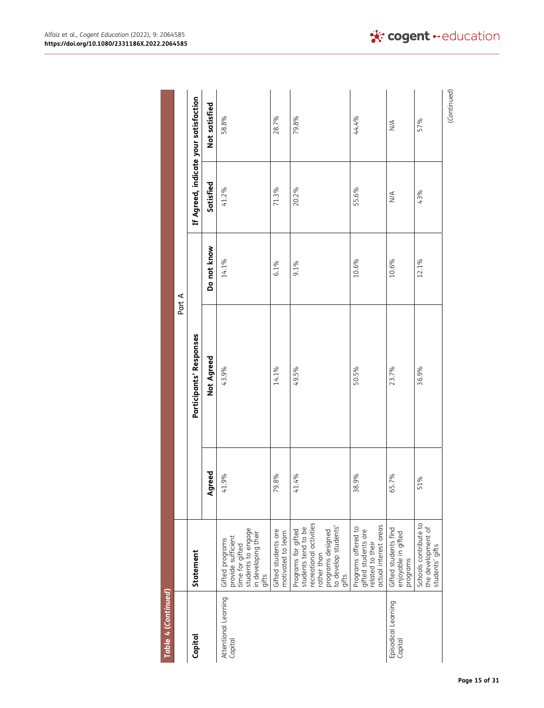| Table 4 (Continued)             |                                                                                                                                                  |          |                         |             |               |                                       |
|---------------------------------|--------------------------------------------------------------------------------------------------------------------------------------------------|----------|-------------------------|-------------|---------------|---------------------------------------|
|                                 |                                                                                                                                                  |          |                         | Part A      |               |                                       |
| Capital                         | Statement                                                                                                                                        |          | Participants' Responses |             |               | If Agreed, indicate your satisfaction |
|                                 |                                                                                                                                                  | Agreed   | Not Agreed              | Do not know | Satisfied     | Not satisfied                         |
| Attentional Learning<br>Capital | students to engage<br>in developing their<br>Gifted programs<br>provide sufficient<br>time for gifted<br>aifts                                   | 41.9%    | 43.9%                   | 14.1%       | 41.2%         | 58.8%                                 |
|                                 | Gifted students are<br>motivated to learn                                                                                                        | 79.8%    | 14.1%                   | 6.1%        | 71.3%         | 28.7%                                 |
|                                 | recreational activities<br>  programs designed<br>  to develop students'<br>  gifts<br>students tend to be<br>Programs for gifted<br>rather than | 41.4%    | 49.5%                   | $9.1\%$     | 20.2%         | 79.8%                                 |
|                                 | actual interest areas<br>Programs offered to<br>gifted students are<br>related to their                                                          | 38.9%    | 50.5%                   | 10.6%       | 55.6%         | 44.4%                                 |
| Episodical Learning<br>Capital  | Gifted students find<br>enjoyable in gifted<br>programs                                                                                          | 65.7%    | 23.7%                   | 10.6%       | $\frac{4}{2}$ | $\stackrel{\triangleleft}{\geq}$      |
|                                 | Schools contribute to<br>the development of<br>students' gifts                                                                                   | ্ঠ<br>51 | 36.9%                   | 12.1%       | 43%           | 57%                                   |
|                                 |                                                                                                                                                  |          |                         |             |               | (Continued)                           |

\* cogent · education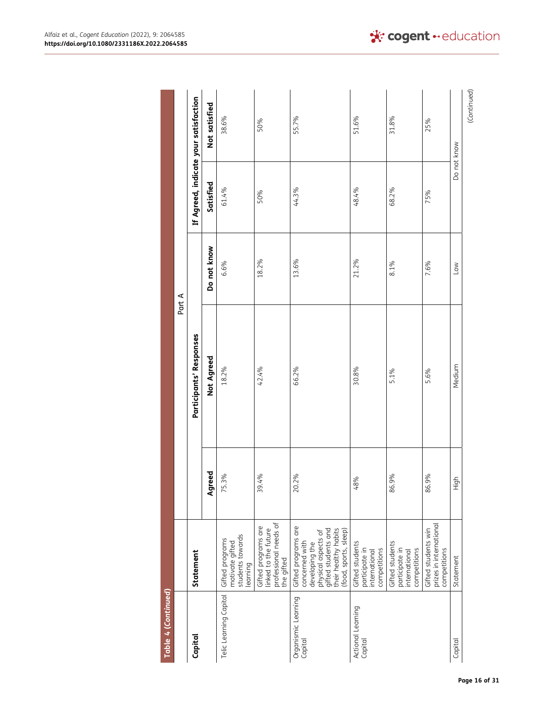| Table 4 (Continued)            |                                                                                                                                                        |        |                         |             |           |                                       |
|--------------------------------|--------------------------------------------------------------------------------------------------------------------------------------------------------|--------|-------------------------|-------------|-----------|---------------------------------------|
|                                |                                                                                                                                                        |        |                         | Part A      |           |                                       |
| Capital                        | Statement                                                                                                                                              |        | Participants' Responses |             |           | If Agreed, indicate your satisfaction |
|                                |                                                                                                                                                        | Agreed | Not Agreed              | Do not know | Satisfied | Not satisfied                         |
| Telic Learning Capital         | students towards<br>Gifted programs<br>motivate gifted<br>earning                                                                                      | 75.3%  | 18.2%                   | 6.6%        | 61.4%     | 38.6%                                 |
|                                | professional needs of<br>Gifted programs are<br>linked to the future<br>the gifted                                                                     | 39.4%  | 42.4%                   | 18.2%       | 50%       | 50%                                   |
| Organismic Learning<br>Capital | Gifted programs are<br>their healthy habits<br>gifted students and<br>(food, sports, sleep)<br>developing the<br>physical aspects of<br>concerned with | 20.2%  | 66.2%                   | 13.6%       | 44.3%     | 55.7%                                 |
| Actional Learning<br>Capital   | Gifted students<br>participate in<br>competitions<br>international                                                                                     | 48%    | 30.8%                   | 21.2%       | 48.4%     | 51.6%                                 |
|                                | Gifted students<br>participate in<br>competitions<br>international                                                                                     | 86.9%  | 5.1%                    | 8.1%        | 68.2%     | 31.8%                                 |
|                                | prizes in international<br>Gifted students win<br>competitions                                                                                         | 86.9%  | 5.6%                    | 7.6%        | 75%       | 25%                                   |
| Capital                        | Statement                                                                                                                                              | High   | Medium                  | Low         |           | Do not know                           |
|                                |                                                                                                                                                        |        |                         |             |           | (Continued)                           |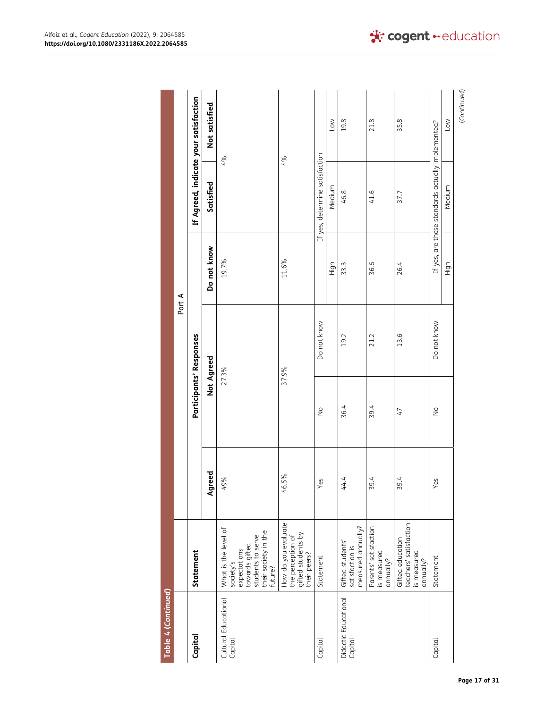| Table 4 (Continued)             |                                                                                                                             |        |               |                         |             |                                                   |                                       |
|---------------------------------|-----------------------------------------------------------------------------------------------------------------------------|--------|---------------|-------------------------|-------------|---------------------------------------------------|---------------------------------------|
|                                 |                                                                                                                             |        |               |                         | Part A      |                                                   |                                       |
| Capital                         | Statement                                                                                                                   |        |               | Participants' Responses |             |                                                   | If Agreed, indicate your satisfaction |
|                                 |                                                                                                                             | Agreed |               | Not Agreed              | Do not know | Satisfied                                         | Not satisfied                         |
| Cultural Educational<br>Capital | What is the level of<br>towards gifted<br>students to serve<br>their society in the<br>future?<br>expectations<br>society's | 49%    |               | 27.3%                   | 19.7%       |                                                   | 4%                                    |
|                                 | How do you evaluate<br>the perception of<br>gifted students by<br>their peers?                                              | 46.5%  |               | 37.9%                   | $11.6\%$    |                                                   | 4%                                    |
| Capital                         | Statement                                                                                                                   | /es    | $\frac{1}{2}$ | Do not know             |             | If yes, determine satisfaction                    |                                       |
|                                 |                                                                                                                             |        |               |                         | High        | Medium                                            | Low                                   |
| Didactic Educational<br>Capital | measured annually?<br>Gifted students'<br>satisfaction is                                                                   | 44.4   | 36.4          | 19.2                    | 33.3        | 46.8                                              | 19.8                                  |
|                                 | Parents' satisfaction<br>is measured<br>annually?                                                                           | 39.4   | 39.4          | 21.2                    | 36.6        | 41.6                                              | 21.8                                  |
|                                 | teachers' satisfaction<br>Gifted education<br>is measured<br>annually?                                                      | 39.4   | 47            | 13.6                    | 26.4        | 37.7                                              | 35.8                                  |
| Capital                         | Statement                                                                                                                   | /es    | $\frac{1}{2}$ | Do not know             |             | If yes, are these standards actually implemented? |                                       |
|                                 |                                                                                                                             |        |               |                         | High        | Medium                                            | Low                                   |
|                                 |                                                                                                                             |        |               |                         |             |                                                   | (Continued)                           |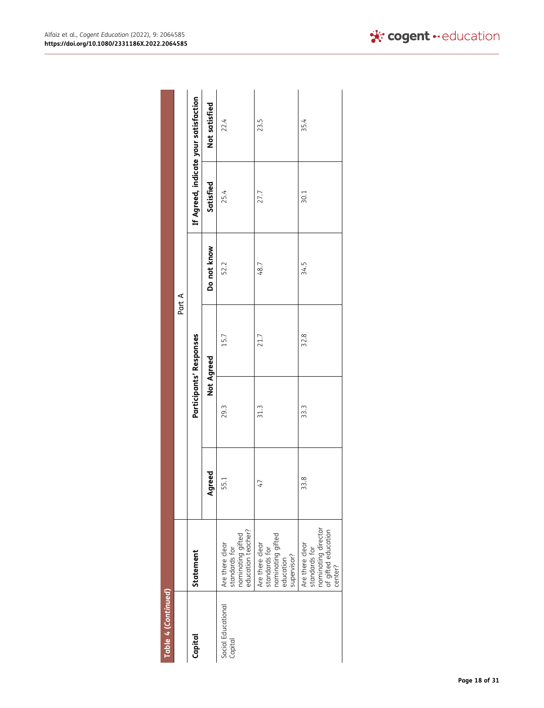| Table 4 (Continued)           |                                                                                           |        |      |                         |             |           |                                       |
|-------------------------------|-------------------------------------------------------------------------------------------|--------|------|-------------------------|-------------|-----------|---------------------------------------|
|                               |                                                                                           |        |      |                         | Part A      |           |                                       |
| Capital                       | Statement                                                                                 |        |      | Participants' Responses |             |           | If Agreed, indicate your satisfaction |
|                               |                                                                                           | Agreed |      | Not Agreed              | Do not know | Satisfied | Not satisfied                         |
| Social Educational<br>Capital | nominating gifted<br>education teacher?<br>Are there clear<br>standards for               | 55.1   | 29.3 | 15.7                    | 52.2        | 25.4      | 22.4                                  |
|                               | standards for<br>nominating gifted<br>Are there clear<br>supervisor?<br>education         | 47     | 31.3 | 21.7                    | 48.7        | 27.7      | 23.5                                  |
|                               | nominating director<br>of gifted education<br>Are there clear<br>standards for<br>center? | 33.8   | 33.3 | 32.8                    | 34.5        | 30.1      | 35.4                                  |

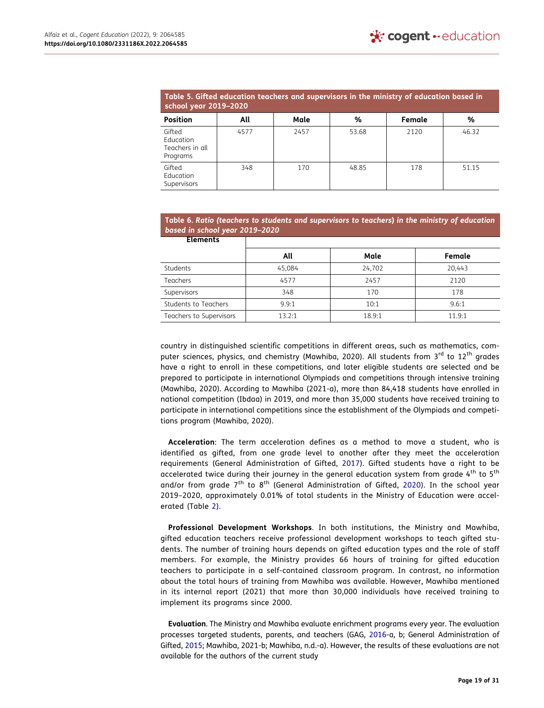<span id="page-19-0"></span>

| Table 5. Gifted education teachers and supervisors in the ministry of education based in<br>school year 2019-2020 |      |      |       |        |       |  |  |
|-------------------------------------------------------------------------------------------------------------------|------|------|-------|--------|-------|--|--|
| <b>Position</b>                                                                                                   | All  | Male | %     | Female | %     |  |  |
| Gifted<br>Education<br>Teachers in all<br>Programs                                                                | 4577 | 2457 | 53.68 | 2120   | 46.32 |  |  |
| Gifted<br>Education<br>Supervisors                                                                                | 348  | 170  | 48.85 | 178    | 51.15 |  |  |

<span id="page-19-1"></span>

| Table 6. Ratio (teachers to students and supervisors to teachers) in the ministry of education |  |
|------------------------------------------------------------------------------------------------|--|
| based in school year 2019–2020                                                                 |  |

| <b>Elements</b>         |        |        |        |
|-------------------------|--------|--------|--------|
|                         | All    | Male   | Female |
| Students                | 45,084 | 24,702 | 20.443 |
| Teachers                | 4577   | 2457   | 2120   |
| Supervisors             | 348    | 170    | 178    |
| Students to Teachers    | 9.9:1  | 10:1   | 9.6:1  |
| Teachers to Supervisors | 13.2:1 | 18.9:1 | 11.9:1 |

country in distinguished scientific competitions in different areas, such as mathematics, computer sciences, physics, and chemistry (Mawhiba, 2020). All students from 3<sup>rd</sup> to 12<sup>th</sup> grades have a right to enroll in these competitions, and later eligible students are selected and be prepared to participate in international Olympiads and competitions through intensive training (Mawhiba, 2020). According to Mawhiba (2021-a), more than 84,418 students have enrolled in national competition (Ibdaa) in 2019, and more than 35,000 students have received training to participate in international competitions since the establishment of the Olympiads and competitions program (Mawhiba, 2020).

<span id="page-19-3"></span><span id="page-19-2"></span>**Acceleration**: The term acceleration defines as a method to move a student, who is identified as gifted, from one grade level to another after they meet the acceleration requirements (General Administration of Gifted, [2017](#page-29-27)). Gifted students have a right to be accelerated twice during their journey in the general education system from grade  $4^{\text{th}}$  to  $5^{\text{th}}$ and/or from grade 7<sup>th</sup> to 8<sup>th</sup> (General Administration of Gifted, [2020\)](#page-29-28). In the school year 2019–2020, approximately 0.01% of total students in the Ministry of Education were accelerated (Table [2](#page-7-0)).

**Professional Development Workshops**. In both institutions, the Ministry and Mawhiba, gifted education teachers receive professional development workshops to teach gifted students. The number of training hours depends on gifted education types and the role of staff members. For example, the Ministry provides 66 hours of training for gifted education teachers to participate in a self-contained classroom program. In contrast, no information about the total hours of training from Mawhiba was available. However, Mawhiba mentioned in its internal report (2021) that more than 30,000 individuals have received training to implement its programs since 2000.

**Evaluation**. The Ministry and Mawhiba evaluate enrichment programs every year. The evaluation processes targeted students, parents, and teachers (GAG, [2016-](#page-29-24)a, b; General Administration of Gifted, [2015;](#page-29-26) Mawhiba, 2021-b; Mawhiba, n.d.-a). However, the results of these evaluations are not available for the authors of the current study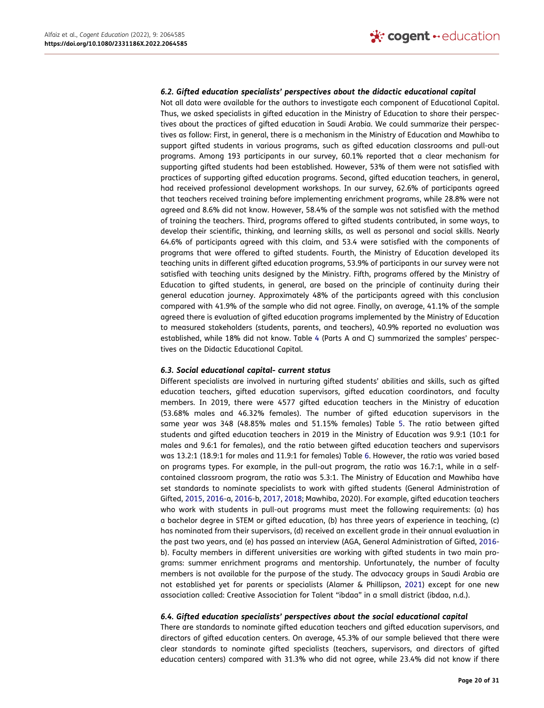#### *6.2. Gifted education specialists' perspectives about the didactic educational capital*

Not all data were available for the authors to investigate each component of Educational Capital. Thus, we asked specialists in gifted education in the Ministry of Education to share their perspectives about the practices of gifted education in Saudi Arabia. We could summarize their perspectives as follow: First, in general, there is a mechanism in the Ministry of Education and Mawhiba to support gifted students in various programs, such as gifted education classrooms and pull-out programs. Among 193 participants in our survey, 60.1% reported that a clear mechanism for supporting gifted students had been established. However, 53% of them were not satisfied with practices of supporting gifted education programs. Second, gifted education teachers, in general, had received professional development workshops. In our survey, 62.6% of participants agreed that teachers received training before implementing enrichment programs, while 28.8% were not agreed and 8.6% did not know. However, 58.4% of the sample was not satisfied with the method of training the teachers. Third, programs offered to gifted students contributed, in some ways, to develop their scientific, thinking, and learning skills, as well as personal and social skills. Nearly 64.6% of participants agreed with this claim, and 53.4 were satisfied with the components of programs that were offered to gifted students. Fourth, the Ministry of Education developed its teaching units in different gifted education programs, 53.9% of participants in our survey were not satisfied with teaching units designed by the Ministry. Fifth, programs offered by the Ministry of Education to gifted students, in general, are based on the principle of continuity during their general education journey. Approximately 48% of the participants agreed with this conclusion compared with 41.9% of the sample who did not agree. Finally, on average, 41.1% of the sample agreed there is evaluation of gifted education programs implemented by the Ministry of Education to measured stakeholders (students, parents, and teachers), 40.9% reported no evaluation was established, while 18% did not know. Table [4](#page-11-0) (Parts A and C) summarized the samples' perspectives on the Didactic Educational Capital.

#### *6.3. Social educational capital- current status*

<span id="page-20-1"></span>Different specialists are involved in nurturing gifted students' abilities and skills, such as gifted education teachers, gifted education supervisors, gifted education coordinators, and faculty members. In 2019, there were 4577 gifted education teachers in the Ministry of education (53.68% males and 46.32% females). The number of gifted education supervisors in the same year was 348 (48.85% males and 51.15% females) Table [5](#page-19-0). The ratio between gifted students and gifted education teachers in 2019 in the Ministry of Education was 9.9:1 (10:1 for males and 9.6:1 for females), and the ratio between gifted education teachers and supervisors was 13.2:1 (18.9:1 for males and 11.9:1 for females) Table [6](#page-19-1). However, the ratio was varied based on programs types. For example, in the pull-out program, the ratio was 16.7:1, while in a selfcontained classroom program, the ratio was 5.3:1. The Ministry of Education and Mawhiba have set standards to nominate specialists to work with gifted students (General Administration of Gifted, [2015,](#page-29-26) [2016-](#page-29-24)a, [2016-](#page-29-25)b, [2017](#page-29-27), [2018](#page-29-29); Mawhiba, 2020). For example, gifted education teachers who work with students in pull-out programs must meet the following requirements: (a) has a bachelor degree in STEM or gifted education, (b) has three years of experience in teaching, (c) has nominated from their supervisors, (d) received an excellent grade in their annual evaluation in the past two years, and (e) has passed an interview (AGA, General Administration of Gifted, [2016](#page-29-25) b). Faculty members in different universities are working with gifted students in two main programs: summer enrichment programs and mentorship. Unfortunately, the number of faculty members is not available for the purpose of the study. The advocacy groups in Saudi Arabia are not established yet for parents or specialists (Alamer & Phillipson, [2021](#page-29-30)) except for one new association called: Creative Association for Talent "ibdaa" in a small district (ibdaa, n.d.).

## <span id="page-20-0"></span>*6.4. Gifted education specialists' perspectives about the social educational capital*

There are standards to nominate gifted education teachers and gifted education supervisors, and directors of gifted education centers. On average, 45.3% of our sample believed that there were clear standards to nominate gifted specialists (teachers, supervisors, and directors of gifted education centers) compared with 31.3% who did not agree, while 23.4% did not know if there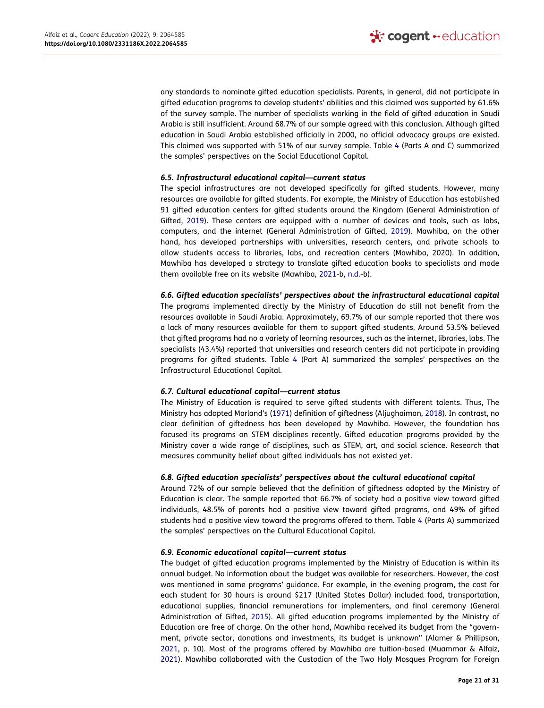any standards to nominate gifted education specialists. Parents, in general, did not participate in gifted education programs to develop students' abilities and this claimed was supported by 61.6% of the survey sample. The number of specialists working in the field of gifted education in Saudi Arabia is still insufficient. Around 68.7% of our sample agreed with this conclusion. Although gifted education in Saudi Arabia established officially in 2000, no official advocacy groups are existed. This claimed was supported with 51% of our survey sample. Table [4](#page-11-0) (Parts A and C) summarized the samples' perspectives on the Social Educational Capital.

## *6.5. Infrastructural educational capital—current status*

The special infrastructures are not developed specifically for gifted students. However, many resources are available for gifted students. For example, the Ministry of Education has established 91 gifted education centers for gifted students around the Kingdom (General Administration of Gifted, [2019\)](#page-29-22). These centers are equipped with a number of devices and tools, such as labs, computers, and the internet (General Administration of Gifted, [2019\)](#page-29-22). Mawhiba, on the other hand, has developed partnerships with universities, research centers, and private schools to allow students access to libraries, labs, and recreation centers (Mawhiba, 2020). In addition, Mawhiba has developed a strategy to translate gifted education books to specialists and made them available free on its website (Mawhiba, [2021-](#page-30-19)b, [n.d.-](#page-30-20)b).

<span id="page-21-0"></span>*6.6. Gifted education specialists' perspectives about the infrastructural educational capital* The programs implemented directly by the Ministry of Education do still not benefit from the resources available in Saudi Arabia. Approximately, 69.7% of our sample reported that there was a lack of many resources available for them to support gifted students. Around 53.5% believed that gifted programs had no a variety of learning resources, such as the internet, libraries, labs. The specialists (43.4%) reported that universities and research centers did not participate in providing programs for gifted students. Table [4](#page-11-0) (Part A) summarized the samples' perspectives on the Infrastructural Educational Capital.

# *6.7. Cultural educational capital—current status*

<span id="page-21-1"></span>The Ministry of Education is required to serve gifted students with different talents. Thus, The Ministry has adopted Marland's [\(1971](#page-30-21)) definition of giftedness (Aljughaiman, [2018\)](#page-29-5). In contrast, no clear definition of giftedness has been developed by Mawhiba. However, the foundation has focused its programs on STEM disciplines recently. Gifted education programs provided by the Ministry cover a wide range of disciplines, such as STEM, art, and social science. Research that measures community belief about gifted individuals has not existed yet.

## *6.8. Gifted education specialists' perspectives about the cultural educational capital*

Around 72% of our sample believed that the definition of giftedness adopted by the Ministry of Education is clear. The sample reported that 66.7% of society had a positive view toward gifted individuals, 48.5% of parents had a positive view toward gifted programs, and 49% of gifted students had a positive view toward the programs offered to them. Table [4](#page-11-0) (Parts A) summarized the samples' perspectives on the Cultural Educational Capital.

## *6.9. Economic educational capital—current status*

<span id="page-21-2"></span>The budget of gifted education programs implemented by the Ministry of Education is within its annual budget. No information about the budget was available for researchers. However, the cost was mentioned in some programs' guidance. For example, in the evening program, the cost for each student for 30 hours is around \$217 (United States Dollar) included food, transportation, educational supplies, financial remunerations for implementers, and final ceremony (General Administration of Gifted, [2015\)](#page-29-26). All gifted education programs implemented by the Ministry of Education are free of charge. On the other hand, Mawhiba received its budget from the "government, private sector, donations and investments, its budget is unknown" (Alamer & Phillipson, [2021](#page-29-30), p. 10). Most of the programs offered by Mawhiba are tuition-based (Muammar & Alfaiz, [2021](#page-30-22)). Mawhiba collaborated with the Custodian of the Two Holy Mosques Program for Foreign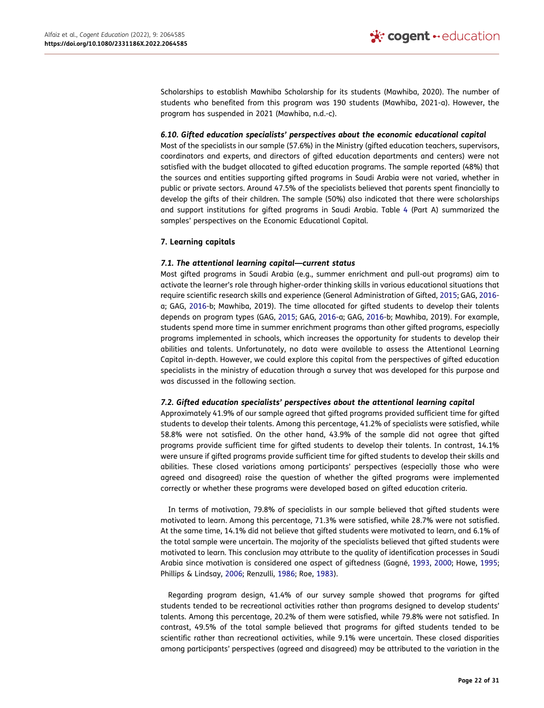Scholarships to establish Mawhiba Scholarship for its students (Mawhiba, 2020). The number of students who benefited from this program was 190 students (Mawhiba, 2021-a). However, the program has suspended in 2021 (Mawhiba, n.d.-c).

#### *6.10. Gifted education specialists' perspectives about the economic educational capital*

Most of the specialists in our sample (57.6%) in the Ministry (gifted education teachers, supervisors, coordinators and experts, and directors of gifted education departments and centers) were not satisfied with the budget allocated to gifted education programs. The sample reported (48%) that the sources and entities supporting gifted programs in Saudi Arabia were not varied, whether in public or private sectors. Around 47.5% of the specialists believed that parents spent financially to develop the gifts of their children. The sample (50%) also indicated that there were scholarships and support institutions for gifted programs in Saudi Arabia. Table [4](#page-11-0) (Part A) summarized the samples' perspectives on the Economic Educational Capital.

## **7. Learning capitals**

## *7.1. The attentional learning capital—current status*

Most gifted programs in Saudi Arabia (e.g., summer enrichment and pull-out programs) aim to activate the learner's role through higher-order thinking skills in various educational situations that require scientific research skills and experience (General Administration of Gifted, [2015](#page-29-26); GAG, [2016](#page-29-24) a; GAG, [2016](#page-29-25)-b; Mawhiba, 2019). The time allocated for gifted students to develop their talents depends on program types (GAG, [2015](#page-29-26); GAG, [2016](#page-29-24)-a; GAG, [2016](#page-29-25)-b; Mawhiba, 2019). For example, students spend more time in summer enrichment programs than other gifted programs, especially programs implemented in schools, which increases the opportunity for students to develop their abilities and talents. Unfortunately, no data were available to assess the Attentional Learning Capital in-depth. However, we could explore this capital from the perspectives of gifted education specialists in the ministry of education through a survey that was developed for this purpose and was discussed in the following section.

#### *7.2. Gifted education specialists' perspectives about the attentional learning capital*

Approximately 41.9% of our sample agreed that gifted programs provided sufficient time for gifted students to develop their talents. Among this percentage, 41.2% of specialists were satisfied, while 58.8% were not satisfied. On the other hand, 43.9% of the sample did not agree that gifted programs provide sufficient time for gifted students to develop their talents. In contrast, 14.1% were unsure if gifted programs provide sufficient time for gifted students to develop their skills and abilities. These closed variations among participants' perspectives (especially those who were agreed and disagreed) raise the question of whether the gifted programs were implemented correctly or whether these programs were developed based on gifted education criteria.

In terms of motivation, 79.8% of specialists in our sample believed that gifted students were motivated to learn. Among this percentage, 71.3% were satisfied, while 28.7% were not satisfied. At the same time, 14.1% did not believe that gifted students were motivated to learn, and 6.1% of the total sample were uncertain. The majority of the specialists believed that gifted students were motivated to learn. This conclusion may attribute to the quality of identification processes in Saudi Arabia since motivation is considered one aspect of giftedness (Gagné, [1993](#page-29-31), [2000](#page-29-32); Howe, [1995](#page-30-23); Phillips & Lindsay, [2006;](#page-30-24) Renzulli, [1986](#page-30-25); Roe, [1983\)](#page-30-26).

<span id="page-22-1"></span><span id="page-22-0"></span>Regarding program design, 41.4% of our survey sample showed that programs for gifted students tended to be recreational activities rather than programs designed to develop students' talents. Among this percentage, 20.2% of them were satisfied, while 79.8% were not satisfied. In contrast, 49.5% of the total sample believed that programs for gifted students tended to be scientific rather than recreational activities, while 9.1% were uncertain. These closed disparities among participants' perspectives (agreed and disagreed) may be attributed to the variation in the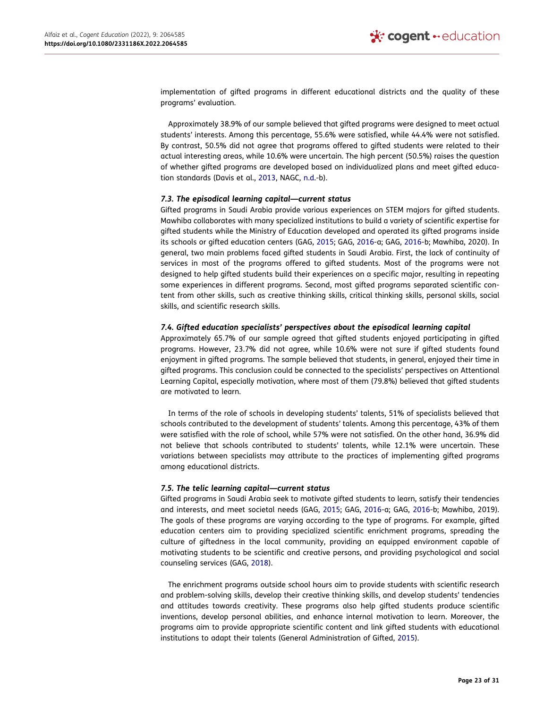implementation of gifted programs in different educational districts and the quality of these programs' evaluation.

Approximately 38.9% of our sample believed that gifted programs were designed to meet actual students' interests. Among this percentage, 55.6% were satisfied, while 44.4% were not satisfied. By contrast, 50.5% did not agree that programs offered to gifted students were related to their actual interesting areas, while 10.6% were uncertain. The high percent (50.5%) raises the question of whether gifted programs are developed based on individualized plans and meet gifted education standards (Davis et al., [2013,](#page-29-23) NAGC, [n.d](#page-30-27).-b).

#### <span id="page-23-0"></span>*7.3. The episodical learning capital—current status*

Gifted programs in Saudi Arabia provide various experiences on STEM majors for gifted students. Mawhiba collaborates with many specialized institutions to build a variety of scientific expertise for gifted students while the Ministry of Education developed and operated its gifted programs inside its schools or gifted education centers (GAG, [2015](#page-29-26); GAG, [2016](#page-29-24)-a; GAG, [2016](#page-29-25)-b; Mawhiba, 2020). In general, two main problems faced gifted students in Saudi Arabia. First, the lack of continuity of services in most of the programs offered to gifted students. Most of the programs were not designed to help gifted students build their experiences on a specific major, resulting in repeating some experiences in different programs. Second, most gifted programs separated scientific content from other skills, such as creative thinking skills, critical thinking skills, personal skills, social skills, and scientific research skills.

#### *7.4. Gifted education specialists' perspectives about the episodical learning capital*

Approximately 65.7% of our sample agreed that gifted students enjoyed participating in gifted programs. However, 23.7% did not agree, while 10.6% were not sure if gifted students found enjoyment in gifted programs. The sample believed that students, in general, enjoyed their time in gifted programs. This conclusion could be connected to the specialists' perspectives on Attentional Learning Capital, especially motivation, where most of them (79.8%) believed that gifted students are motivated to learn.

In terms of the role of schools in developing students' talents, 51% of specialists believed that schools contributed to the development of students' talents. Among this percentage, 43% of them were satisfied with the role of school, while 57% were not satisfied. On the other hand, 36.9% did not believe that schools contributed to students' talents, while 12.1% were uncertain. These variations between specialists may attribute to the practices of implementing gifted programs among educational districts.

## *7.5. The telic learning capital—current status*

Gifted programs in Saudi Arabia seek to motivate gifted students to learn, satisfy their tendencies and interests, and meet societal needs (GAG, [2015](#page-29-26); GAG, [2016-](#page-29-24)a; GAG, [2016-](#page-29-25)b; Mawhiba, 2019). The goals of these programs are varying according to the type of programs. For example, gifted education centers aim to providing specialized scientific enrichment programs, spreading the culture of giftedness in the local community, providing an equipped environment capable of motivating students to be scientific and creative persons, and providing psychological and social counseling services (GAG, [2018\)](#page-29-29).

The enrichment programs outside school hours aim to provide students with scientific research and problem-solving skills, develop their creative thinking skills, and develop students' tendencies and attitudes towards creativity. These programs also help gifted students produce scientific inventions, develop personal abilities, and enhance internal motivation to learn. Moreover, the programs aim to provide appropriate scientific content and link gifted students with educational institutions to adapt their talents (General Administration of Gifted, [2015\)](#page-29-26).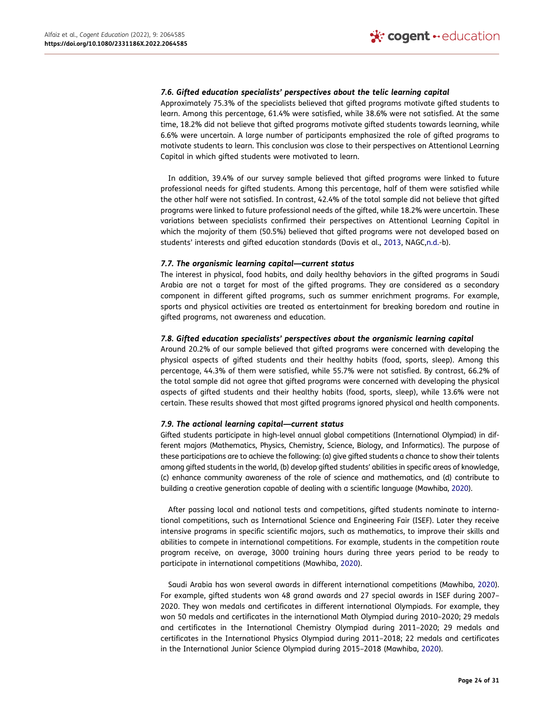## *7.6. Gifted education specialists' perspectives about the telic learning capital*

Approximately 75.3% of the specialists believed that gifted programs motivate gifted students to learn. Among this percentage, 61.4% were satisfied, while 38.6% were not satisfied. At the same time, 18.2% did not believe that gifted programs motivate gifted students towards learning, while 6.6% were uncertain. A large number of participants emphasized the role of gifted programs to motivate students to learn. This conclusion was close to their perspectives on Attentional Learning Capital in which gifted students were motivated to learn.

In addition, 39.4% of our survey sample believed that gifted programs were linked to future professional needs for gifted students. Among this percentage, half of them were satisfied while the other half were not satisfied. In contrast, 42.4% of the total sample did not believe that gifted programs were linked to future professional needs of the gifted, while 18.2% were uncertain. These variations between specialists confirmed their perspectives on Attentional Learning Capital in which the majority of them (50.5%) believed that gifted programs were not developed based on students' interests and gifted education standards (Davis et al., [2013,](#page-29-23) NAGC,[n.d.-](#page-30-27)b).

## *7.7. The organismic learning capital—current status*

The interest in physical, food habits, and daily healthy behaviors in the gifted programs in Saudi Arabia are not a target for most of the gifted programs. They are considered as a secondary component in different gifted programs, such as summer enrichment programs. For example, sports and physical activities are treated as entertainment for breaking boredom and routine in gifted programs, not awareness and education.

## *7.8. Gifted education specialists' perspectives about the organismic learning capital*

Around 20.2% of our sample believed that gifted programs were concerned with developing the physical aspects of gifted students and their healthy habits (food, sports, sleep). Among this percentage, 44.3% of them were satisfied, while 55.7% were not satisfied. By contrast, 66.2% of the total sample did not agree that gifted programs were concerned with developing the physical aspects of gifted students and their healthy habits (food, sports, sleep), while 13.6% were not certain. These results showed that most gifted programs ignored physical and health components.

## *7.9. The actional learning capital—current status*

Gifted students participate in high-level annual global competitions (International Olympiad) in different majors (Mathematics, Physics, Chemistry, Science, Biology, and Informatics). The purpose of these participations are to achieve the following: (a) give gifted students a chance to show their talents among gifted students in the world, (b) develop gifted students' abilities in specific areas of knowledge, (c) enhance community awareness of the role of science and mathematics, and (d) contribute to building a creative generation capable of dealing with a scientific language (Mawhiba, [2020\)](#page-30-17).

After passing local and national tests and competitions, gifted students nominate to international competitions, such as International Science and Engineering Fair (ISEF). Later they receive intensive programs in specific scientific majors, such as mathematics, to improve their skills and abilities to compete in international competitions. For example, students in the competition route program receive, on average, 3000 training hours during three years period to be ready to participate in international competitions (Mawhiba, [2020\)](#page-30-17).

Saudi Arabia has won several awards in different international competitions (Mawhiba, [2020\)](#page-30-17). For example, gifted students won 48 grand awards and 27 special awards in ISEF during 2007– 2020. They won medals and certificates in different international Olympiads. For example, they won 50 medals and certificates in the international Math Olympiad during 2010–2020; 29 medals and certificates in the International Chemistry Olympiad during 2011–2020; 29 medals and certificates in the International Physics Olympiad during 2011–2018; 22 medals and certificates in the International Junior Science Olympiad during 2015–2018 (Mawhiba, [2020\)](#page-30-17).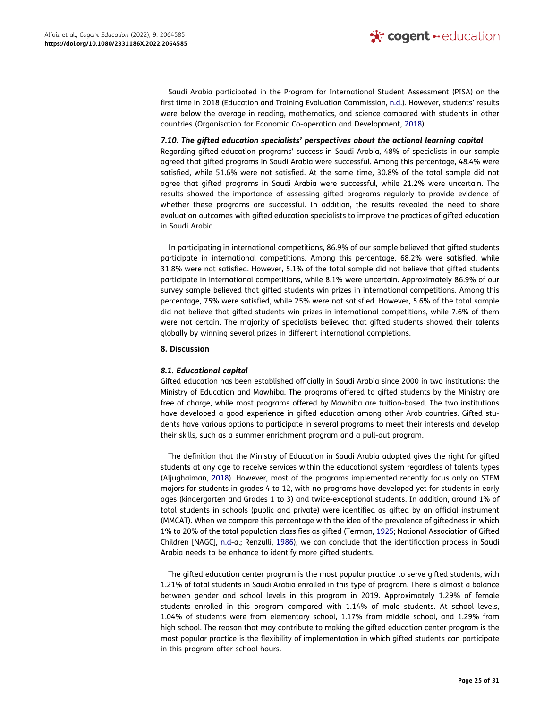<span id="page-25-0"></span>Saudi Arabia participated in the Program for International Student Assessment (PISA) on the first time in 2018 (Education and Training Evaluation Commission, [n.d.](#page-29-33)). However, students' results were below the average in reading, mathematics, and science compared with students in other countries (Organisation for Economic Co-operation and Development, [2018\)](#page-30-28).

#### <span id="page-25-2"></span>*7.10. The gifted education specialists' perspectives about the actional learning capital*

Regarding gifted education programs' success in Saudi Arabia, 48% of specialists in our sample agreed that gifted programs in Saudi Arabia were successful. Among this percentage, 48.4% were satisfied, while 51.6% were not satisfied. At the same time, 30.8% of the total sample did not agree that gifted programs in Saudi Arabia were successful, while 21.2% were uncertain. The results showed the importance of assessing gifted programs regularly to provide evidence of whether these programs are successful. In addition, the results revealed the need to share evaluation outcomes with gifted education specialists to improve the practices of gifted education in Saudi Arabia.

In participating in international competitions, 86.9% of our sample believed that gifted students participate in international competitions. Among this percentage, 68.2% were satisfied, while 31.8% were not satisfied. However, 5.1% of the total sample did not believe that gifted students participate in international competitions, while 8.1% were uncertain. Approximately 86.9% of our survey sample believed that gifted students win prizes in international competitions. Among this percentage, 75% were satisfied, while 25% were not satisfied. However, 5.6% of the total sample did not believe that gifted students win prizes in international competitions, while 7.6% of them were not certain. The majority of specialists believed that gifted students showed their talents globally by winning several prizes in different international completions.

#### **8. Discussion**

## *8.1. Educational capital*

Gifted education has been established officially in Saudi Arabia since 2000 in two institutions: the Ministry of Education and Mawhiba. The programs offered to gifted students by the Ministry are free of charge, while most programs offered by Mawhiba are tuition-based. The two institutions have developed a good experience in gifted education among other Arab countries. Gifted students have various options to participate in several programs to meet their interests and develop their skills, such as a summer enrichment program and a pull-out program.

The definition that the Ministry of Education in Saudi Arabia adopted gives the right for gifted students at any age to receive services within the educational system regardless of talents types (Aljughaiman, [2018](#page-29-5)). However, most of the programs implemented recently focus only on STEM majors for students in grades 4 to 12, with no programs have developed yet for students in early ages (kindergarten and Grades 1 to 3) and twice-exceptional students. In addition, around 1% of total students in schools (public and private) were identified as gifted by an official instrument (MMCAT). When we compare this percentage with the idea of the prevalence of giftedness in which 1% to 20% of the total population classifies as gifted (Terman, [1925](#page-30-29); National Association of Gifted Children [NAGC], [n.d](#page-30-30)-a.; Renzulli, [1986\)](#page-30-25), we can conclude that the identification process in Saudi Arabia needs to be enhance to identify more gifted students.

<span id="page-25-3"></span><span id="page-25-1"></span>The gifted education center program is the most popular practice to serve gifted students, with 1.21% of total students in Saudi Arabia enrolled in this type of program. There is almost a balance between gender and school levels in this program in 2019. Approximately 1.29% of female students enrolled in this program compared with 1.14% of male students. At school levels, 1.04% of students were from elementary school, 1.17% from middle school, and 1.29% from high school. The reason that may contribute to making the gifted education center program is the most popular practice is the flexibility of implementation in which gifted students can participate in this program after school hours.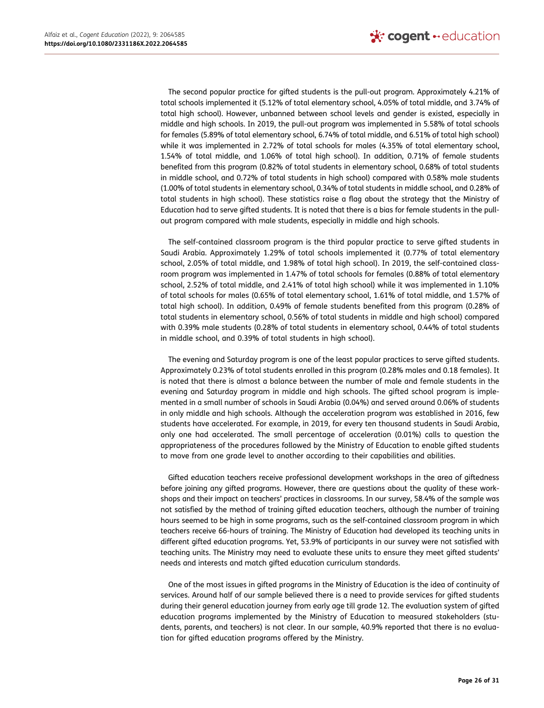The second popular practice for gifted students is the pull-out program. Approximately 4.21% of total schools implemented it (5.12% of total elementary school, 4.05% of total middle, and 3.74% of total high school). However, unbanned between school levels and gender is existed, especially in middle and high schools. In 2019, the pull-out program was implemented in 5.58% of total schools for females (5.89% of total elementary school, 6.74% of total middle, and 6.51% of total high school) while it was implemented in 2.72% of total schools for males (4.35% of total elementary school, 1.54% of total middle, and 1.06% of total high school). In addition, 0.71% of female students benefited from this program (0.82% of total students in elementary school, 0.68% of total students in middle school, and 0.72% of total students in high school) compared with 0.58% male students (1.00% of total students in elementary school, 0.34% of total students in middle school, and 0.28% of total students in high school). These statistics raise a flag about the strategy that the Ministry of Education had to serve gifted students. It is noted that there is a bias for female students in the pullout program compared with male students, especially in middle and high schools.

The self-contained classroom program is the third popular practice to serve gifted students in Saudi Arabia. Approximately 1.29% of total schools implemented it (0.77% of total elementary school, 2.05% of total middle, and 1.98% of total high school). In 2019, the self-contained classroom program was implemented in 1.47% of total schools for females (0.88% of total elementary school, 2.52% of total middle, and 2.41% of total high school) while it was implemented in 1.10% of total schools for males (0.65% of total elementary school, 1.61% of total middle, and 1.57% of total high school). In addition, 0.49% of female students benefited from this program (0.28% of total students in elementary school, 0.56% of total students in middle and high school) compared with 0.39% male students (0.28% of total students in elementary school, 0.44% of total students in middle school, and 0.39% of total students in high school).

The evening and Saturday program is one of the least popular practices to serve gifted students. Approximately 0.23% of total students enrolled in this program (0.28% males and 0.18 females). It is noted that there is almost a balance between the number of male and female students in the evening and Saturday program in middle and high schools. The gifted school program is implemented in a small number of schools in Saudi Arabia (0.04%) and served around 0.06% of students in only middle and high schools. Although the acceleration program was established in 2016, few students have accelerated. For example, in 2019, for every ten thousand students in Saudi Arabia, only one had accelerated. The small percentage of acceleration (0.01%) calls to question the appropriateness of the procedures followed by the Ministry of Education to enable gifted students to move from one grade level to another according to their capabilities and abilities.

Gifted education teachers receive professional development workshops in the area of giftedness before joining any gifted programs. However, there are questions about the quality of these workshops and their impact on teachers' practices in classrooms. In our survey, 58.4% of the sample was not satisfied by the method of training gifted education teachers, although the number of training hours seemed to be high in some programs, such as the self-contained classroom program in which teachers receive 66-hours of training. The Ministry of Education had developed its teaching units in different gifted education programs. Yet, 53.9% of participants in our survey were not satisfied with teaching units. The Ministry may need to evaluate these units to ensure they meet gifted students' needs and interests and match gifted education curriculum standards.

One of the most issues in gifted programs in the Ministry of Education is the idea of continuity of services. Around half of our sample believed there is a need to provide services for gifted students during their general education journey from early age till grade 12. The evaluation system of gifted education programs implemented by the Ministry of Education to measured stakeholders (students, parents, and teachers) is not clear. In our sample, 40.9% reported that there is no evaluation for gifted education programs offered by the Ministry.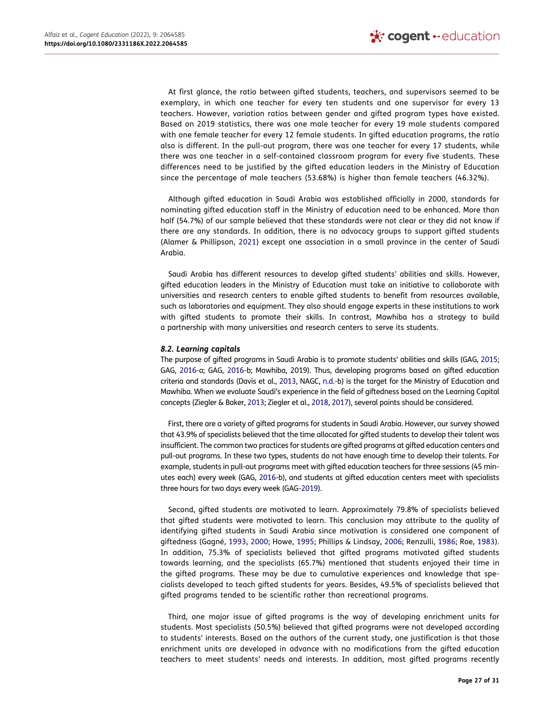At first glance, the ratio between gifted students, teachers, and supervisors seemed to be exemplary, in which one teacher for every ten students and one supervisor for every 13 teachers. However, variation ratios between gender and gifted program types have existed. Based on 2019 statistics, there was one male teacher for every 19 male students compared with one female teacher for every 12 female students. In gifted education programs, the ratio also is different. In the pull-out program, there was one teacher for every 17 students, while there was one teacher in a self-contained classroom program for every five students. These differences need to be justified by the gifted education leaders in the Ministry of Education since the percentage of male teachers (53.68%) is higher than female teachers (46.32%).

Although gifted education in Saudi Arabia was established officially in 2000, standards for nominating gifted education staff in the Ministry of education need to be enhanced. More than half (54.7%) of our sample believed that these standards were not clear or they did not know if there are any standards. In addition, there is no advocacy groups to support gifted students (Alamer & Phillipson, [2021](#page-29-30)) except one association in a small province in the center of Saudi Arabia.

Saudi Arabia has different resources to develop gifted students' abilities and skills. However, gifted education leaders in the Ministry of Education must take an initiative to collaborate with universities and research centers to enable gifted students to benefit from resources available, such as laboratories and equipment. They also should engage experts in these institutions to work with gifted students to promote their skills. In contrast, Mawhiba has a strategy to build a partnership with many universities and research centers to serve its students.

#### *8.2. Learning capitals*

The purpose of gifted programs in Saudi Arabia is to promote students' abilities and skills (GAG, [2015](#page-29-26); GAG, [2016](#page-29-24)-a; GAG, [2016](#page-29-25)-b; Mawhiba, 2019). Thus, developing programs based on gifted education criteria and standards (Davis et al., [2013,](#page-29-23) NAGC, [n.d.-](#page-30-27)b) is the target for the Ministry of Education and Mawhiba. When we evaluate Saudi's experience in the field of giftedness based on the Learning Capital concepts (Ziegler & Baker, [2013](#page-30-7); Ziegler et al., [2018,](#page-30-10) [2017\)](#page-30-11), several points should be considered.

First, there are a variety of gifted programs for students in Saudi Arabia. However, our survey showed that 43.9% of specialists believed that the time allocated for gifted students to develop their talent was insufficient. The common two practices for students are gifted programs at gifted education centers and pull-out programs. In these two types, students do not have enough time to develop their talents. For example, students in pull-out programs meet with gifted education teachers for three sessions (45 minutes each) every week (GAG, [2016-](#page-29-25)b), and students at gifted education centers meet with specialists three hours for two days every week (GAG[-2019](#page-29-22)).

Second, gifted students are motivated to learn. Approximately 79.8% of specialists believed that gifted students were motivated to learn. This conclusion may attribute to the quality of identifying gifted students in Saudi Arabia since motivation is considered one component of giftedness (Gagné, [1993,](#page-29-31) [2000;](#page-29-32) Howe, [1995](#page-30-23); Phillips & Lindsay, [2006;](#page-30-24) Renzulli, [1986](#page-30-25); Roe, [1983\)](#page-30-26). In addition, 75.3% of specialists believed that gifted programs motivated gifted students towards learning, and the specialists (65.7%) mentioned that students enjoyed their time in the gifted programs. These may be due to cumulative experiences and knowledge that specialists developed to teach gifted students for years. Besides, 49.5% of specialists believed that gifted programs tended to be scientific rather than recreational programs.

Third, one major issue of gifted programs is the way of developing enrichment units for students. Most specialists (50.5%) believed that gifted programs were not developed according to students' interests. Based on the authors of the current study, one justification is that those enrichment units are developed in advance with no modifications from the gifted education teachers to meet students' needs and interests. In addition, most gifted programs recently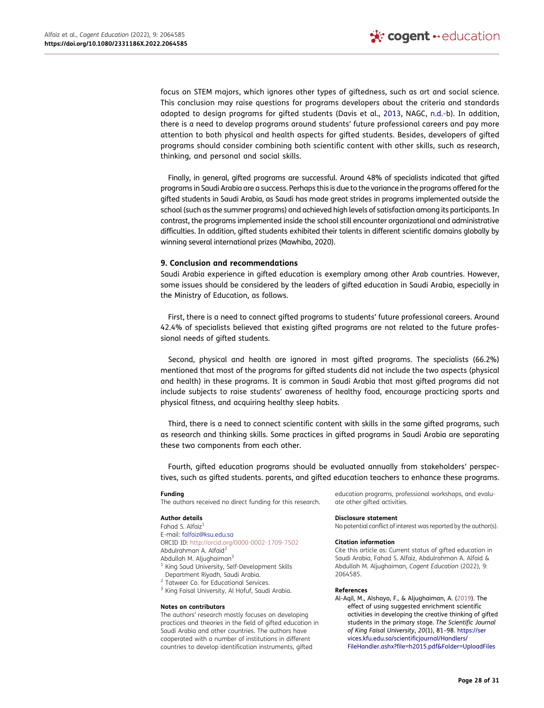focus on STEM majors, which ignores other types of giftedness, such as art and social science. This conclusion may raise questions for programs developers about the criteria and standards adopted to design programs for gifted students (Davis et al., [2013](#page-29-23), NAGC, [n.d.-](#page-30-27)b). In addition, there is a need to develop programs around students' future professional careers and pay more attention to both physical and health aspects for gifted students. Besides, developers of gifted programs should consider combining both scientific content with other skills, such as research, thinking, and personal and social skills.

Finally, in general, gifted programs are successful. Around 48% of specialists indicated that gifted programs in Saudi Arabia are a success. Perhaps this is due to the variance in the programs offered for the gifted students in Saudi Arabia, as Saudi has made great strides in programs implemented outside the school (such as the summer programs) and achieved high levels of satisfaction among its participants. In contrast, the programs implemented inside the school still encounter organizational and administrative difficulties. In addition, gifted students exhibited their talents in different scientific domains globally by winning several international prizes (Mawhiba, 2020).

#### **9. Conclusion and recommendations**

Saudi Arabia experience in gifted education is exemplary among other Arab countries. However, some issues should be considered by the leaders of gifted education in Saudi Arabia, especially in the Ministry of Education, as follows.

First, there is a need to connect gifted programs to students' future professional careers. Around 42.4% of specialists believed that existing gifted programs are not related to the future professional needs of gifted students.

Second, physical and health are ignored in most gifted programs. The specialists (66.2%) mentioned that most of the programs for gifted students did not include the two aspects (physical and health) in these programs. It is common in Saudi Arabia that most gifted programs did not include subjects to raise students' awareness of healthy food, encourage practicing sports and physical fitness, and acquiring healthy sleep habits.

Third, there is a need to connect scientific content with skills in the same gifted programs, such as research and thinking skills. Some practices in gifted programs in Saudi Arabia are separating these two components from each other.

Fourth, gifted education programs should be evaluated annually from stakeholders' perspectives, such as gifted students. parents, and gifted education teachers to enhance these programs.

#### **Funding**

The authors received no direct funding for this research.

#### **Author details**

<span id="page-28-1"></span><span id="page-28-0"></span>Fahad S. Alfaiz<sup>1</sup> E-mail: falfaiz@ksu.edu.sa ORCID ID: http://orcid.org/0000-0002-1709-7502 Abdulrahman A. Alfaid[2](#page-1-0)  Abdullah M. Aljughaiman<sup>3</sup> <sup>1</sup> King Saud University, Self-Development Skills

- 
- <span id="page-28-2"></span>Department Riyadh, Saudi Arabia.<br><sup>2</sup> Tatweer Co. for Educational Services.<br><sup>3</sup> King Faisal University, Al Hofuf, Saudi Arabia.

#### **Notes on contributors**

The authors' research mostly focuses on developing practices and theories in the field of gifted education in Saudi Arabia and other countries. The authors have cooperated with a number of institutions in different countries to develop identification instruments, gifted

education programs, professional workshops, and evaluate other gifted activities.

#### **Disclosure statement**

No potential conflict of interest was reported by the author(s).

#### **Citation information**

Cite this article as: Current status of gifted education in Saudi Arabia, Fahad S. Alfaiz, Abdulrahman A. Alfaid & Abdullah M. Aljughaiman*, Cogent Education* (2022), 9: 2064585.

#### **References**

<span id="page-28-3"></span>Al-Aqil, M., Alshaya, F., & Aljughaiman, A. [\(2019](#page-4-0)). The effect of using suggested enrichment scientific activities in developing the creative thinking of gifted students in the primary stage. *The Scientific Journal of King Faisal University*, *20*(1), 81–98. [https://ser](https://services.kfu.edu.sa/scientificjournal/Handlers/FileHandler.ashx?file=h2015.pdf%26Folder=UploadFiles)  [vices.kfu.edu.sa/scientificjournal/Handlers/](https://services.kfu.edu.sa/scientificjournal/Handlers/FileHandler.ashx?file=h2015.pdf%26Folder=UploadFiles) [FileHandler.ashx?file=h2015.pdf&Folder=UploadFiles](https://services.kfu.edu.sa/scientificjournal/Handlers/FileHandler.ashx?file=h2015.pdf%26Folder=UploadFiles)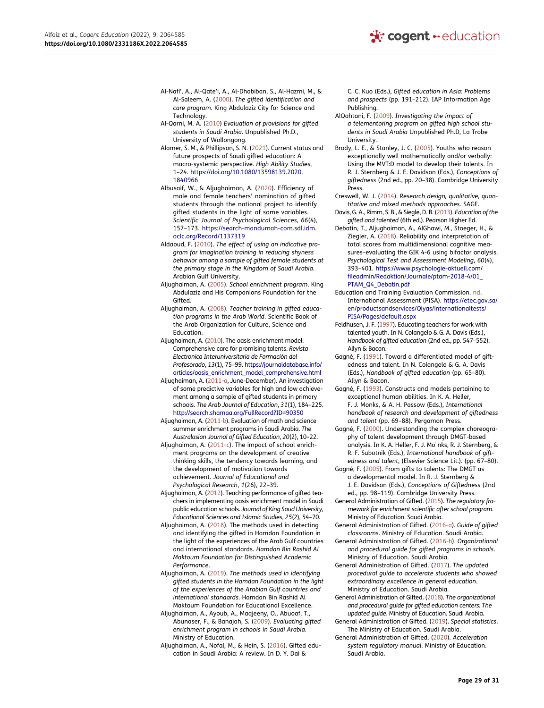- <span id="page-29-7"></span>Al-Nafi', A., Al-Qate'i, A., Al-Dhabiban, S., Al-Hazmi, M., & Al-Saleem, A. [\(2000](#page-3-0)). *The gifted identification and care program*. King Abdulaziz City for Science and Technology.
- <span id="page-29-17"></span>Al-Qarni, M. A. [\(2010](#page-4-0)) *Evaluation of provisions for gifted students in Saudi Arabia*. Unpublished Ph.D., University of Wollongong.
- <span id="page-29-30"></span>Alamer, S. M., & Phillipson, S. N. ([2021\)](#page-20-0). Current status and future prospects of Saudi gifted education: A macro-systemic perspective. *High Ability Studies*, 1–24. [https://doi.org/10.1080/13598139.2020.](https://doi.org/10.1080/13598139.2020.1840966)  [1840966](https://doi.org/10.1080/13598139.2020.1840966)
- <span id="page-29-11"></span>Albusaif, W., & Aljughaiman, A. [\(2020](#page-4-1)). Efficiency of male and female teachers' nomination of gifted students through the national project to identify gifted students in the light of some variables. *Scientific Journal of Psychological Sciences*, *66*(4), 157–173. [https://search-mandumah-com.sdl.idm.](https://search-mandumah-com.sdl.idm.oclc.org/Record/1137319)  [oclc.org/Record/1137319](https://search-mandumah-com.sdl.idm.oclc.org/Record/1137319)
- <span id="page-29-15"></span>Aldaoud, F. [\(2010](#page-4-0)). *The effect of using an indicative program for imagination training in reducing shyness behavior among a sample of gifted female students at the primary stage in the Kingdom of Saudi Arabia*. Arabian Gulf University.
- <span id="page-29-4"></span>Aljughaiman, A. [\(2005](#page-2-0)). *School enrichment program*. King Abdulaziz and His Companions Foundation for the Gifted.
- <span id="page-29-13"></span>Aljughaiman, A. [\(2008](#page-4-2)). *Teacher training in gifted education programs in the Arab World*. Scientific Book of the Arab Organization for Culture, Science and Education.
- <span id="page-29-9"></span>Aljughaiman, A. [\(2010](#page-4-3)). The oasis enrichment model: Comprehensive care for promising talents. *Revista Electronica Interuniversitaria de Formación del Profesorado*, *13*(1), 75–99. [https://journaldatabase.info/](https://journaldatabase.info/articles/oasis_enrichment_model_comprehensive.html)  [articles/oasis\\_enrichment\\_model\\_comprehensive.html](https://journaldatabase.info/articles/oasis_enrichment_model_comprehensive.html)
- <span id="page-29-10"></span>Aljughaiman, A. ([2011-a,](#page-4-4) June-December). An investigation of some predictive variables for high and low achievement among a sample of gifted students in primary schools. *The Arab Journal of Education*, *31*(1), 184–225. <http://search.shamaa.org/FullRecord?ID=90350>
- <span id="page-29-18"></span>Aljughaiman, A. [\(2011-b\)](#page-4-5). Evaluation of math and science summer enrichment programs in Saudi Arabia. *The Australasian Journal of Gifted Education*, *20*(2), 10–22.
- <span id="page-29-19"></span>Aljughaiman, A. [\(2011-c](#page-4-5)). The impact of school enrichment programs on the development of creative thinking skills, the tendency towards learning, and the development of motivation towards achievement. *Journal of Educational and Psychological Research*, *1*(26), 22–39.
- <span id="page-29-14"></span>Aljughaiman, A. [\(2012](#page-4-2)). Teaching performance of gifted teachers in implementing oasis enrichment model in Saudi public education schools. *Journal of King Saud University, Educational Sciences and Islamic Studies*, *25*(2), 54–70.
- <span id="page-29-5"></span>Aljughaiman, A. [\(2018](#page-2-1)). The methods used in detecting and identifying the gifted in Hamdan Foundation in the light of the experiences of the Arab Gulf countries and international standards. *Hamdan Bin Rashid Al Maktoum Foundation for Distinguished Academic Performance*.
- <span id="page-29-12"></span>Aljughaiman, A. [\(2019](#page-4-3)). *The methods used in identifying gifted students in the Hamdan Foundation in the light of the experiences of the Arabian Gulf countries and international standards*. Hamdan Bin Rashid Al Maktoum Foundation for Educational Excellence.
- <span id="page-29-8"></span>Aljughaiman, A., Ayoub, A., Maajeeny, O., Abuoaf, T., Abunaser, F., & Banajah, S. [\(2009](#page-4-6)). *Evaluating gifted enrichment program in schools in Saudi Arabia*. Ministry of Education.
- <span id="page-29-6"></span>Aljughaiman, A., Nofal, M., & Hein, S. ([2016\)](#page-3-1). Gifted education in Saudi Arabia: A review. In D. Y. Dai &

C. C. Kuo (Eds.), *Gifted education in Asia: Problems and prospects* (pp. 191–212). IAP Information Age Publishing.

- <span id="page-29-16"></span>AlQahtani, F. ([2009\)](#page-4-0). *Investigating the impact of a telementoring program on gifted high school students in Saudi Arabia* Unpublished Ph.D, La Trobe University.
- <span id="page-29-0"></span>Brody, L. E., & Stanley, J. C. ([2005\)](#page-2-2). Youths who reason exceptionally well mathematically and/or verbally: Using the MVT:D model to develop their talents. In R. J. Sternberg & J. E. Davidson (Eds.), *Conceptions of giftedness* (2nd ed., pp. 20–38). Cambridge University Press.
- <span id="page-29-21"></span>Creswell, W. J. ([2014\)](#page-5-1). *Research design, qualitative, quantitative and mixed methods approaches*. SAGE.
- <span id="page-29-23"></span>Davis, G. A., Rimm, S. B., & Siegle, D. B. [\(2013\)](#page-8-0). *Education of the gifted and talented* (6th ed.). Pearson Higher Ed.
- <span id="page-29-20"></span>Debatin, T., Aljughaiman, A., AlGhawi, M., Stoeger, H., & Ziegler, A. ([2018\)](#page-4-7). Reliability and interpretation of total scores from multidimensional cognitive measures–evaluating the GIK 4-6 using bifactor analysis. *Psychological Test and Assessment Modeling*, *60*(4), 393–401. [https://www.psychologie-aktuell.com/](https://www.psychologie-aktuell.com/fileadmin/Redaktion/Journale/ptam-2018-4/01_PTAM_Q4_Debatin.pdf)  [fileadmin/Redaktion/Journale/ptam-2018-4/01\\_](https://www.psychologie-aktuell.com/fileadmin/Redaktion/Journale/ptam-2018-4/01_PTAM_Q4_Debatin.pdf) [PTAM\\_Q4\\_Debatin.pdf](https://www.psychologie-aktuell.com/fileadmin/Redaktion/Journale/ptam-2018-4/01_PTAM_Q4_Debatin.pdf)
- <span id="page-29-33"></span>Education and Training Evaluation Commission. [nd](#page-25-0). International Assessment (PISA). [https://etec.gov.sa/](https://etec.gov.sa/en/productsandservices/Qiyas/internationaltests/PISA/Pages/default.aspx)  [en/productsandservices/Qiyas/internationaltests/](https://etec.gov.sa/en/productsandservices/Qiyas/internationaltests/PISA/Pages/default.aspx) [PISA/Pages/default.aspx](https://etec.gov.sa/en/productsandservices/Qiyas/internationaltests/PISA/Pages/default.aspx)
- <span id="page-29-2"></span>Feldhusen, J. F. [\(1997](#page-2-3)). Educating teachers for work with talented youth. In N. Colangelo & G. A. Davis (Eds.), *Handbook of gifted education* (2nd ed., pp. 547–552). Allyn & Bacon.
- <span id="page-29-3"></span>Gagné, F. [\(1991](#page-2-4)). Toward a differentiated model of giftedness and talent. In N. Colangelo & G. A. Davis (Eds.), *Handbook of gifted education* (pp. 65–80). Allyn & Bacon.
- <span id="page-29-31"></span>Gagné, F. [\(1993](#page-22-0)). Constructs and models pertaining to exceptional human abilities. In K. A. Heller, F. J. Monks, & A. H. Passow (Eds.), *International handbook of research and development of giftedness and talent* (pp. 69–88). Pergamon Press.
- <span id="page-29-32"></span>Gagné, F. [\(2000](#page-22-0)). Understanding the complex choreography of talent development through DMGT-based analysis. In K. A. Heller, F. J. Mo¨nks, R. J. Sternberg, & R. F. Subotnik (Eds.), *International handbook of giftedness and talent*, (Elsevier Science Lit.). (pp. 67–80).
- <span id="page-29-1"></span>Gagné, F. [\(2005](#page-2-4)). From gifts to talents: The DMGT as a developmental model. In R. J. Sternberg & J. E. Davidson (Eds.), *Conceptions of Giftedness* (2nd ed., pp. 98–119). Cambridge University Press.
- <span id="page-29-26"></span>General Administration of Gifted. ([2015](#page-10-0)). *The regulatory framework for enrichment scientific after school program*. Ministry of Education. Saudi Arabia.
- <span id="page-29-24"></span>General Administration of Gifted. ([2016-a](#page-8-1)). *Guide of gifted classrooms*. Ministry of Education. Saudi Arabia.
- <span id="page-29-25"></span>General Administration of Gifted. [\(2016-b\)](#page-10-1). *Organizational and procedural guide for gifted programs in schools*. Ministry of Education. Saudi Arabia.
- <span id="page-29-27"></span>General Administration of Gifted. [\(2017](#page-19-2)). *The updated procedural guide to accelerate students who showed extraordinary excellence in general education*. Ministry of Education. Saudi Arabia.
- <span id="page-29-29"></span>General Administration of Gifted. ([2018](#page-20-1)). *The organizational and procedural guide for gifted education centers: The updated guide*. Ministry of Education. Saudi Arabia.
- <span id="page-29-22"></span>General Administration of Gifted. [\(2019](#page-8-2)). *Special statistics*. The Ministry of Education. Saudi Arabia.
- <span id="page-29-28"></span>General Administration of Gifted. [\(2020](#page-19-3)). *Acceleration system regulatory manual*. Ministry of Education. Saudi Arabia.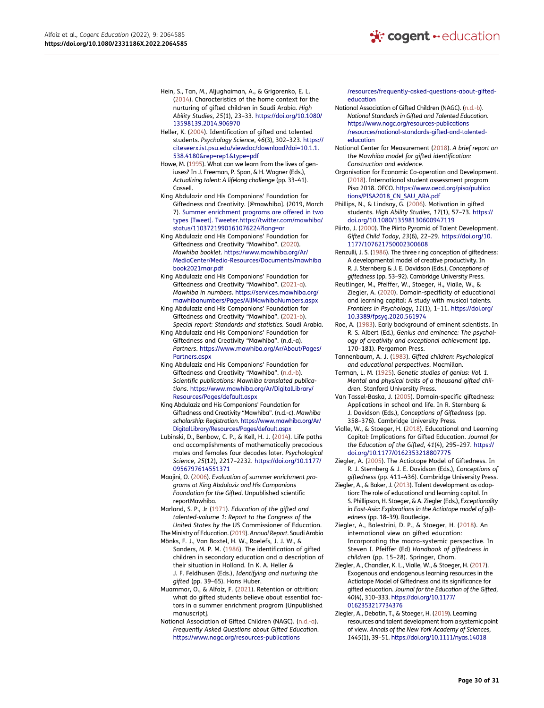- <span id="page-30-9"></span>Hein, S., Tan, M., Aljughaiman, A., & Grigorenko, E. L. [\(2014](#page-4-8)). Characteristics of the home context for the nurturing of gifted children in Saudi Arabia. *High Ability Studies*, *25*(1), 23–33. [https://doi.org/10.1080/](https://doi.org/10.1080/13598139.2014.906970)  [13598139.2014.906970](https://doi.org/10.1080/13598139.2014.906970)
- <span id="page-30-6"></span>Heller, K. ([2004\)](#page-2-5). Identification of gifted and talented students. *Psychology Science*, *46*(3), 302–323. [https://](https://citeseerx.ist.psu.edu/viewdoc/download?doi=10.1.1.538.4180%26rep=rep1%26type=pdf) [citeseerx.ist.psu.edu/viewdoc/download?doi=10.1.1.](https://citeseerx.ist.psu.edu/viewdoc/download?doi=10.1.1.538.4180%26rep=rep1%26type=pdf)  [538.4180&rep=rep1&type=pdf](https://citeseerx.ist.psu.edu/viewdoc/download?doi=10.1.1.538.4180%26rep=rep1%26type=pdf)
- <span id="page-30-23"></span>Howe, M. [\(1995\)](#page-22-0). What can we learn from the lives of geniuses? In J. Freeman, P. Span, & H. Wagner (Eds.), *Actualizing talent: A lifelong challenge* (pp. 33–41). Cassell.
- King Abdulaziz and His Companions' Foundation for Giftedness and Creativity. [@mawhiba]. (2019, March 7). [Summer enrichment programs are offered in two](http://Summer%26#x00A0;enrichment%26#x00A0;programs%26#x00A0;are%26#x00A0;offered%26#x00A0;in%26#x00A0;two%26#x00A0;types%26#x00A0;[Tweet].%26#x00A0;Tweeter.https://twitter.com/mawhiba/status/1103721990161076224?lang=ar) [types \[Tweet\]. Tweeter.https://twitter.com/mawhiba/](http://Summer%26#x00A0;enrichment%26#x00A0;programs%26#x00A0;are%26#x00A0;offered%26#x00A0;in%26#x00A0;two%26#x00A0;types%26#x00A0;[Tweet].%26#x00A0;Tweeter.https://twitter.com/mawhiba/status/1103721990161076224?lang=ar)  [status/1103721990161076224?lang=ar](http://Summer%26#x00A0;enrichment%26#x00A0;programs%26#x00A0;are%26#x00A0;offered%26#x00A0;in%26#x00A0;two%26#x00A0;types%26#x00A0;[Tweet].%26#x00A0;Tweeter.https://twitter.com/mawhiba/status/1103721990161076224?lang=ar)
- <span id="page-30-17"></span>King Abdulaziz and His Companions' Foundation for Giftedness and Creativity "Mawhiba". ([2020\)](#page-8-3). *Mawhiba booklet*. [https://www.mawhiba.org/Ar/](https://www.mawhiba.org/Ar/MediaCenter/Media-Resources/Documents/mawhibabook2021mar.pdf) [MediaCenter/Media-Resources/Documents/mawhiba](https://www.mawhiba.org/Ar/MediaCenter/Media-Resources/Documents/mawhibabook2021mar.pdf)  [book2021mar.pdf](https://www.mawhiba.org/Ar/MediaCenter/Media-Resources/Documents/mawhibabook2021mar.pdf)
- <span id="page-30-18"></span>King Abdulaziz and His Companions' Foundation for Giftedness and Creativity "Mawhiba". ([2021-a](#page-8-4)). *Mawhiba in numbers*. [https://services.mawhiba.org/](https://services.mawhiba.org/mawhibanumbers/Pages/AllMawhibaNumbers.aspx) [mawhibanumbers/Pages/AllMawhibaNumbers.aspx](https://services.mawhiba.org/mawhibanumbers/Pages/AllMawhibaNumbers.aspx)
- <span id="page-30-19"></span>King Abdulaziz and His Companions' Foundation for Giftedness and Creativity "Mawhiba". ([2021-b](#page-8-1)). *Special report: Standards and statistics.* Saudi Arabia.
- King Abdulaziz and His Companions' Foundation for Giftedness and Creativity "Mawhiba". (n.d.-a). *Partners*. [https://www.mawhiba.org/Ar/About/Pages/](https://www.mawhiba.org/Ar/About/Pages/Partners.aspx) [Partners.aspx](https://www.mawhiba.org/Ar/About/Pages/Partners.aspx)
- <span id="page-30-20"></span>King Abdulaziz and His Companions' Foundation for Giftedness and Creativity "Mawhiba". ([n.d.-b](#page-21-0)). *Scientific publications: Mawhiba translated publications*. [https://www.mawhiba.org/Ar/DigitalLibrary/](https://www.mawhiba.org/Ar/DigitalLibrary/Resources/Pages/default.aspx) [Resources/Pages/default.aspx](https://www.mawhiba.org/Ar/DigitalLibrary/Resources/Pages/default.aspx)
- King Abdulaziz and His Companions' Foundation for Giftedness and Creativity "Mawhiba". (n.d.-c). *Mawhiba scholarship: Registration*. [https://www.mawhiba.org/Ar/](https://www.mawhiba.org/Ar/DigitalLibrary/Resources/Pages/default.aspx)  [DigitalLibrary/Resources/Pages/default.aspx](https://www.mawhiba.org/Ar/DigitalLibrary/Resources/Pages/default.aspx)
- <span id="page-30-0"></span>Lubinski, D., Benbow, C. P., & Kell, H. J. [\(2014](#page-2-2)). Life paths and accomplishments of mathematically precocious males and females four decades later. *Psychological Science*, *25*(12), 2217–2232. [https://doi.org/10.1177/](https://doi.org/10.1177/0956797614551371) [0956797614551371](https://doi.org/10.1177/0956797614551371)
- <span id="page-30-8"></span>Maajini, O. [\(2006\)](#page-4-5). *Evaluation of summer enrichment programs at King Abdulaziz and His Companions Foundation for the Gifted*. Unpublished scientific reportMawhiba.
- <span id="page-30-21"></span>Marland, S. P., Jr [\(1971](#page-21-1)). *Education of the gifted and talented-volume 1: Report to the Congress of the United States by the* US Commissioner of Education. The Ministry of Education. ([2019](#page-8-5)). *Annual Report*. Saudi Arabia
- <span id="page-30-16"></span><span id="page-30-3"></span>Mönks, F. J., Van Boxtel, H. W., Roelefs, J. J. W., & Sanders, M. P. M. [\(1986](#page-2-6)). The identification of gifted children in secondary education and a description of
- their situation in Holland. In K. A. Heller & J. F. Feldhusen (Eds.), *Identifying and nurturing the gifted* (pp. 39–65). Hans Huber.
- <span id="page-30-22"></span>Muammar, O., & Alfaiz, F. ([2021\)](#page-21-2). Retention or attrition: what do gifted students believe about essential factors in a summer enrichment program [Unpublished manuscript].
- <span id="page-30-30"></span>National Association of Gifted Children (NAGC). [\(n.d.-a\)](#page-25-1). *Frequently Asked Questions about Gifted Education*. [https://www.nagc.org/resources-publications](https://www.nagc.org/resources-publications/resources/frequently-asked-questions-about-gifted-education)

[/resources/frequently-asked-questions-about-gifted](https://www.nagc.org/resources-publications/resources/frequently-asked-questions-about-gifted-education)[education](https://www.nagc.org/resources-publications/resources/frequently-asked-questions-about-gifted-education)

- <span id="page-30-27"></span>National Association of Gifted Children (NAGC). ([n.d.-b\)](#page-23-0). *National Standards in Gifted and Talented Education*. [https://www.nagc.org/resources-publications](https://www.nagc.org/resources-publications/resources/national-standards-gifted-and-talented-education)  [/resources/national-standards-gifted-and-talented](https://www.nagc.org/resources-publications/resources/national-standards-gifted-and-talented-education)[education](https://www.nagc.org/resources-publications/resources/national-standards-gifted-and-talented-education)
- <span id="page-30-15"></span>National Center for Measurement [\(2018](#page-8-6)). *A brief report on the Mawhiba model for gifted identification: Construction and evidence*.
- <span id="page-30-28"></span>Organisation for Economic Co-operation and Development. ([2018](#page-25-2)). International student assessment program Pisa 2018. OECO. [https://www.oecd.org/pisa/publica](https://www.oecd.org/pisa/publications/PISA2018_CN_SAU_ARA.pdf)  [tions/PISA2018\\_CN\\_SAU\\_ARA.pdf](https://www.oecd.org/pisa/publications/PISA2018_CN_SAU_ARA.pdf)
- <span id="page-30-24"></span>Phillips, N., & Lindsay, G. ([2006\)](#page-22-1). Motivation in gifted students. *High Ability Studies*, *17*(1), 57–73. [https://](https://doi.org/10.1080/13598130600947119) [doi.org/10.1080/13598130600947119](https://doi.org/10.1080/13598130600947119)

<span id="page-30-5"></span>Piirto, J. ([2000\)](#page-2-7). The Piirto Pyramid of Talent Development. *Gifted Child Today*, *23*(6), 22–29. [https://doi.org/10.](https://doi.org/10.1177/107621750002300608) [1177/107621750002300608](https://doi.org/10.1177/107621750002300608)

- <span id="page-30-25"></span>Renzulli, J. S. [\(1986\)](#page-22-1). The three ring conception of giftedness: A developmental model of creative productivity. In R. J. Sternberg & J. E. Davidson (Eds.), *Conceptions of giftedness* (pp. 53–92). Cambridge University Press.
- <span id="page-30-13"></span>Reutlinger, M., Pfeiffer, W., Stoeger, H., Vialle, W., & Ziegler, A. ([2020\)](#page-4-9). Domain-specificity of educational and learning capital: A study with musical talents. *Frontiers in Psychology*, *11*(1), 1–11. [https://doi.org/](https://doi.org/10.3389/fpsyg.2020.561974) [10.3389/fpsyg.2020.561974](https://doi.org/10.3389/fpsyg.2020.561974)
- <span id="page-30-26"></span>Roe, A. ([1983\)](#page-22-1). Early background of eminent scientists. In R. S. Albert (Ed.), *Genius and eminence: The psychology of creativity and exceptional achievement* (pp. 170–181). Pergamon Press.
- <span id="page-30-4"></span>Tannenbaum, A. J. [\(1983](#page-2-8)). *Gifted children: Psychological and educational perspectives*. Macmillan.
- <span id="page-30-29"></span>Terman, L. M. [\(1925](#page-25-3)). *Genetic studies of genius: Vol. 1. Mental and physical traits of a thousand gifted children*. Stanford University Press.
- <span id="page-30-1"></span>Van Tassel-Baska, J. [\(2005](#page-2-2)). Domain-specific giftedness: Applications in school and life. In R. Sternberg & J. Davidson (Eds.), *Conceptions of Giftedness* (pp. 358–376). Cambridge University Press.
- <span id="page-30-12"></span>Vialle, W., & Stoeger, H. ([2018](#page-4-10)). Educational and Learning Capital: Implications for Gifted Education. *Journal for the Education of the Gifted*, *41*(4), 295–297. [https://](https://doi.org/10.1177/0162353218807775)  [doi.org/10.1177/0162353218807775](https://doi.org/10.1177/0162353218807775)
- <span id="page-30-2"></span>Ziegler, A. ([2005\)](#page-2-9). The Actiotope Model of Giftedness. In R. J. Sternberg & J. E. Davidson (Eds.), *Conceptions of giftedness* (pp. 411–436). Cambridge University Press.
- <span id="page-30-7"></span>Ziegler, A., & Baker, J. ([2013](#page-3-2)). Talent development as adaption: The role of educational and learning capital. In S. Phillipson, H. Stoeger, & A. Ziegler (Eds.), *Exceptionality in East-Asia: Explorations in the Actiotope model of giftedness* (pp. 18–39). Routledge.
- <span id="page-30-10"></span>Ziegler, A., Balestrini, D. P., & Stoeger, H. ([2018](#page-4-11)). An international view on gifted education: Incorporating the macro-systemic perspective. In Steven I. Pfeiffer (Ed) *Handbook of giftedness in children* (pp. 15–28). Springer, Cham.
- <span id="page-30-11"></span>Ziegler, A., Chandler, K. L., Vialle, W., & Stoeger, H. ([2017](#page-4-12)). Exogenous and endogenous learning resources in the Actiotope Model of Giftedness and its significance for gifted education. *Journal for the Education of the Gifted*, *40*(4), 310–333. [https://doi.org/10.1177/](https://doi.org/10.1177/0162353217734376)  [0162353217734376](https://doi.org/10.1177/0162353217734376)
- <span id="page-30-14"></span>Ziegler, A., Debatin, T., & Stoeger, H. ([2019](#page-4-9)). Learning resources and talent development from a systemic point of view. *Annals of the New York Academy of Sciences*, *1445*(1), 39–51.<https://doi.org/10.1111/nyas.14018>